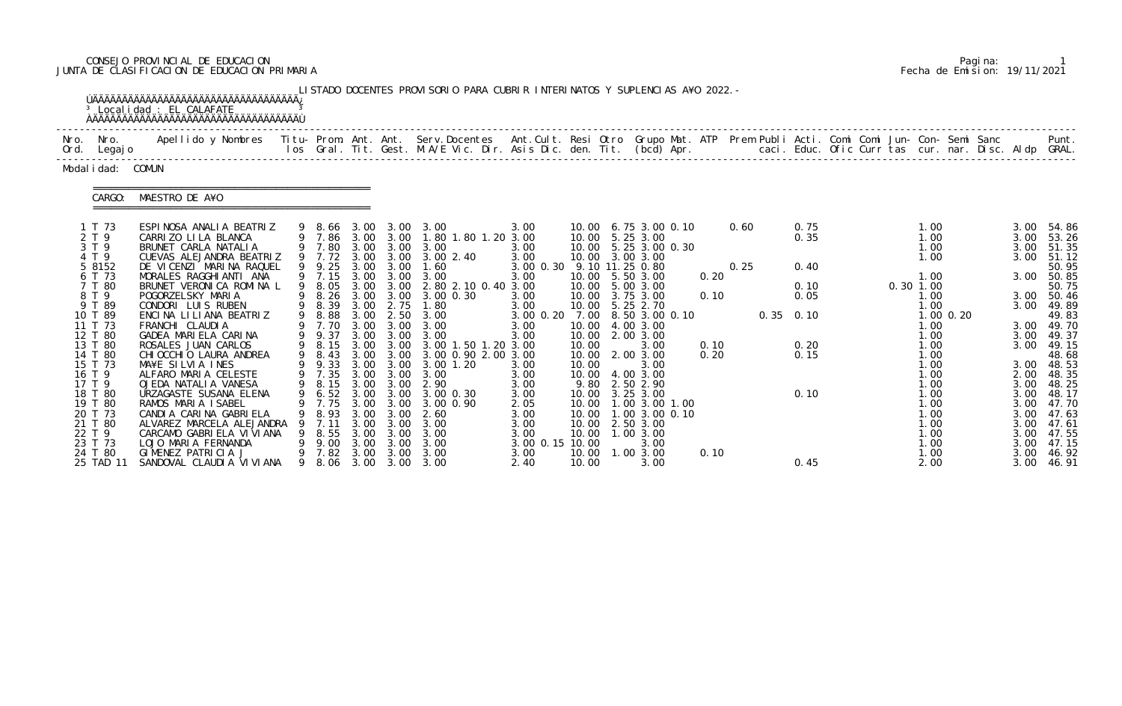# CONSEJO PROVINCIAL DE EDUCACION Pagina: 1 JUNTA DE CLASIFICACION DE EDUCACION PRIMARIA Fecha de Emision: 19/11/2021

|                                                                          | <sup>3</sup> Localidad : EL CALAFATE<br><b>AAAAAAAAAAAAAAAAAAAAAAAAAAAAAAAAAAAA</b>                                                                                          |   |                                                |                                              |                                              | LISTADO DOCENTES PROVISORIO PARA CUBRIR INTERINATOS Y SUPLENCIAS A¥O 2022. -                                                            |                                                                 |                                  |                                                                                                             |              |      |                      |             |                                                      |             |                      |                                                                                 |
|--------------------------------------------------------------------------|------------------------------------------------------------------------------------------------------------------------------------------------------------------------------|---|------------------------------------------------|----------------------------------------------|----------------------------------------------|-----------------------------------------------------------------------------------------------------------------------------------------|-----------------------------------------------------------------|----------------------------------|-------------------------------------------------------------------------------------------------------------|--------------|------|----------------------|-------------|------------------------------------------------------|-------------|----------------------|---------------------------------------------------------------------------------|
| Nro. Nro.<br>Ord. Legajo                                                 | Apellido y Nombres - Titu- Prom. Ant. Ant. Serv.Docentes - Ant.Cult. Resi Otro Grupo Mat. ATP - Prem Publi Acti. Comi Comi Jun- Con- Semi Sanc                               |   |                                                |                                              |                                              |                                                                                                                                         |                                                                 |                                  |                                                                                                             |              |      |                      |             |                                                      |             |                      | Punt.                                                                           |
| Modal i dad: COMUN                                                       |                                                                                                                                                                              |   |                                                |                                              |                                              |                                                                                                                                         |                                                                 |                                  |                                                                                                             |              |      |                      |             |                                                      |             |                      |                                                                                 |
| CARGO:                                                                   | MAESTRO DE A¥O                                                                                                                                                               |   |                                                |                                              |                                              |                                                                                                                                         |                                                                 |                                  |                                                                                                             |              |      |                      |             |                                                      |             |                      |                                                                                 |
| 1 T 73<br>2 T 9<br>3 T 9<br>4 T 9                                        | ESPINOSA ANALIA BEATRIZ<br>CARRIZO LILA BLANCA<br>BRUNET CARLA NATALIA<br>CUEVAS ALEJANDRA BEATRIZ                                                                           |   |                                                |                                              |                                              | 9 8.66 3.00 3.00 3.00<br>9 7.86 3.00 3.00 1.80 1.80 1.20 3.00<br>9 7.80 3.00 3.00 3.00<br>9 7.72 3.00 3.00 3.00 2.40                    | 3.00<br>3.00<br>3.00                                            |                                  | 10.00 6.75 3.00 0.10<br>10.00 5.25 3.00<br>10.00 5.25 3.00 0.30<br>10.00 3.00 3.00                          |              | 0.60 | 0.75<br>0.35         |             | 1.00<br>1.00<br>1.00<br>1.00                         |             |                      | 3.00 54.86<br>3.00 53.26<br>3.00 51.35<br>3.00 51.12                            |
| 5 8152<br>6 T 73<br>7 T 80<br>8 T 9                                      | DE VICENZI MARINA RAQUEL<br>MORALES RAGGHIANTI ANA<br>BRUNET VERONICA ROMINA L<br>POGORZELSKY MARIA                                                                          |   | 9 9.25 3.00 3.00<br>9 7.15 3.00 3.00<br>9 8.05 |                                              |                                              | 1.60<br>3.00<br>3.00 3.00 2.80 2.10 0.40 3.00<br>9 8.26 3.00 3.00 3.00 0.30                                                             | 3.00 0.30 9.10 11.25 0.80<br>3.00<br>3.00                       |                                  | 10.00 5.50 3.00<br>10.00 5.00 3.00<br>10.00 3.75 3.00                                                       | 0.20<br>0.10 | 0.25 | 0.40<br>0.10<br>0.05 | $0.30$ 1.00 | 1.00<br>1.00                                         |             |                      | 50.95<br>3.00 50.85<br>50.75<br>3.00 50.46                                      |
| 9 T 89<br>10 T 89<br>11 T 73<br>12 T 80                                  | CONDORI LUIS RUBEN<br>ENCINA LILIANA BEATRIZ<br>FRANCHI CLAUDIA<br>GADEA MARIELA CARINA                                                                                      |   | 9 8.39<br>9 8.88<br>9 9.37                     |                                              | 3.00 3.00                                    | 3.00 2.75 1.80<br>3.00 2.50 3.00<br>9 7.70 3.00 3.00 3.00<br>3.00                                                                       | 3.00<br>3.00<br>3.00                                            |                                  | 10.00 5.25 2.70<br>3.00 0.20 7.00 8.50 3.00 0.10<br>10.00 4.00 3.00<br>10.00 2.00 3.00                      |              |      | $0.35$ $0.10$        |             | 1.00<br>1.00<br>1.00                                 | $1.00$ 0.20 |                      | 3.00 49.89<br>49.83<br>3.00 49.70<br>3.00 49.37                                 |
| 13 T 80<br>14 T 80<br>15 T 73<br>16 T 9<br>17 T 9                        | ROSALES JUAN CARLOS<br>CHI OCCHI O LAURA ANDREA<br>MA¥E SILVIA INES<br>ALFARO MARIA CELESTE<br>OJEDA NATALIA VANESA                                                          |   | 9 8.15<br>9 9.33<br>9 7.35                     |                                              |                                              | 3.00 3.00 3.00 1.50 1.20 3.00<br>9 8.43 3.00 3.00 3.00 0.90 2.00 3.00<br>3.00 3.00 3.00 1.20<br>3.00 3.00 3.00<br>9 8.15 3.00 3.00 2.90 | 3.00<br>3.00<br>3.00                                            | 10.00<br>10.00                   | 3.00<br>10.00 2.00 3.00<br>3.00<br>10.00 4.00 3.00<br>9.80 2.50 2.90                                        | 0.10<br>0.20 |      | 0.20<br>0.15         |             | 1.00<br>1.00<br>1.00<br>1.00<br>1.00                 |             | 3.00<br>2.00<br>3.00 | 49.15<br>48.68<br>3.00 48.53<br>48.35<br>48.25                                  |
| 18 T 80<br>19 T 80<br>20 T 73<br>21 T 80<br>22 T 9<br>23 T 73<br>24 T 80 | URZAGASTE SUSANA ELENA<br>RAMOS MARIA ISABEL<br>CANDIA CARINA GABRIELA<br>ALVAREZ MARCELA ALEJANDRA<br>CARCAMO GABRIELA VIVIANA<br>LOJO MARIA FERNANDA<br>GIMENEZ PATRICIA J |   | 7.75<br>8.93<br>7. 11<br>8.55<br>9.00<br>7.82  | 3.00<br>3.00<br>3.00<br>3.00<br>3.00<br>3.00 | 3.00<br>3.00<br>3.00<br>3.00<br>3.00<br>3.00 | 9 6.52 3.00 3.00 3.00 0.30<br>3.00 0.90<br>-2.60<br>3.00<br>3.00<br>3.00<br>3.00                                                        | 3.00<br>2.05<br>3.00<br>3.00<br>3.00<br>3.00 0.15 10.00<br>3.00 | 10.00<br>10.00<br>10.00<br>10.00 | 10.00 3.25 3.00<br>10.00  1.00  3.00  1.00<br>1.00 3.00 0.10<br>2.50 3.00<br>1.00 3.00<br>3.00<br>1.00 3.00 | 0.10         |      | 0.10                 |             | 1.00<br>1.00<br>1.00<br>1.00<br>1.00<br>1.00<br>1.00 |             | 3.00<br>3.00<br>3.00 | 3.00 48.17<br>3.00 47.70<br>3.00 47.63<br>47.61<br>3.00 47.55<br>47.15<br>46.92 |
| 25 TAD 11                                                                | SANDOVAL CLAUDI A VI VI ANA                                                                                                                                                  | 9 | 8. 06                                          | 3.00                                         |                                              | 3.00 3.00                                                                                                                               | 2.40                                                            | 10.00                            | 3.00                                                                                                        |              |      | 0.45                 |             | 2.00                                                 |             | 3.00 46.91           |                                                                                 |

|  | Pagi na: |                              |
|--|----------|------------------------------|
|  |          | Fecha de Emision: 19/11/2021 |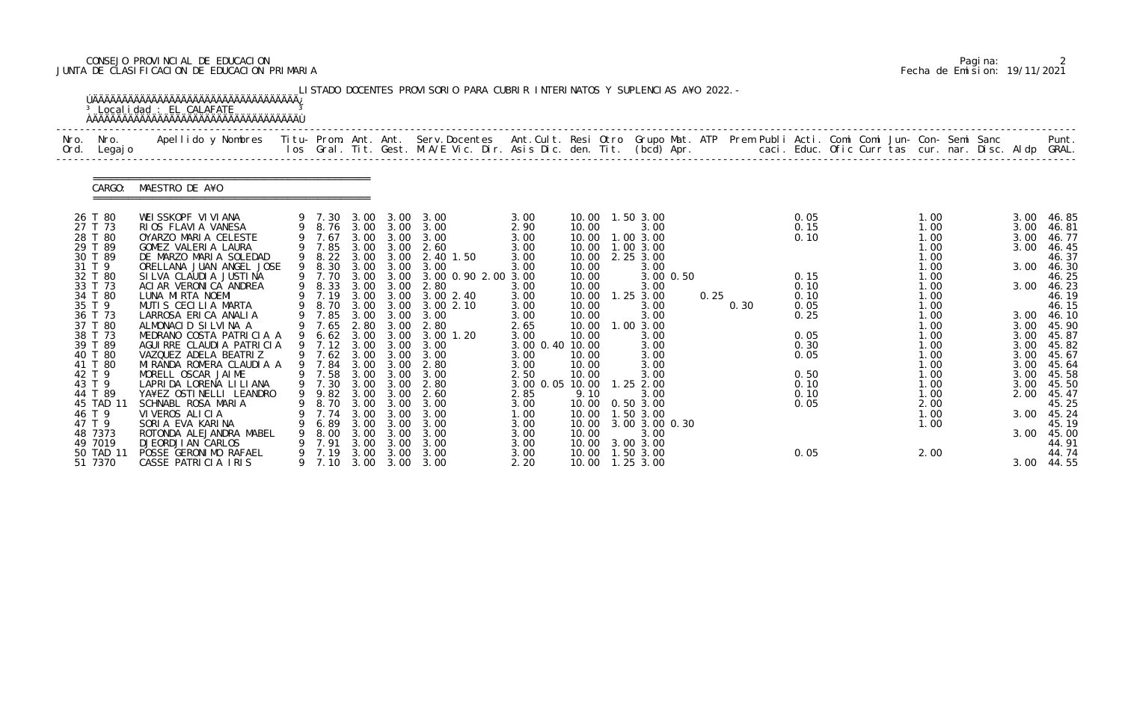# CONSEJO PROVINCIAL DE EDUCACION Pagina: 2 JUNTA DE CLASIFICACION DE EDUCACION PRIMARIA Fecha de Emision: 19/11/2021

|              |                                                                                                                                                                                                                                                                  | <sup>3</sup> Localidad : EL CALAFATE<br><b>OAAAAAAAAAAAAAAAAAAAAAAAAAAAAAAAAAA</b>                                                                                                                                                                                                                                                                                                                                                                                                                                                                                                            |                                                                                                            |                                                      |                                                                                | LISTADO DOCENTES PROVISORIO PARA CUBRIR INTERINATOS Y SUPLENCIAS A¥O 2022. -                                                                                                                                                                                                                                                                                                                                                                                              |                                                                                                                                                                                                            |                                                                                                                                                                                                   |                                                                                                                                                                                                                                                                    |      |      |                                                                                                                      |  |                                                                                                                                                                              |  |                                                                                                                              |                                                                                                                                                                                                                           |
|--------------|------------------------------------------------------------------------------------------------------------------------------------------------------------------------------------------------------------------------------------------------------------------|-----------------------------------------------------------------------------------------------------------------------------------------------------------------------------------------------------------------------------------------------------------------------------------------------------------------------------------------------------------------------------------------------------------------------------------------------------------------------------------------------------------------------------------------------------------------------------------------------|------------------------------------------------------------------------------------------------------------|------------------------------------------------------|--------------------------------------------------------------------------------|---------------------------------------------------------------------------------------------------------------------------------------------------------------------------------------------------------------------------------------------------------------------------------------------------------------------------------------------------------------------------------------------------------------------------------------------------------------------------|------------------------------------------------------------------------------------------------------------------------------------------------------------------------------------------------------------|---------------------------------------------------------------------------------------------------------------------------------------------------------------------------------------------------|--------------------------------------------------------------------------------------------------------------------------------------------------------------------------------------------------------------------------------------------------------------------|------|------|----------------------------------------------------------------------------------------------------------------------|--|------------------------------------------------------------------------------------------------------------------------------------------------------------------------------|--|------------------------------------------------------------------------------------------------------------------------------|---------------------------------------------------------------------------------------------------------------------------------------------------------------------------------------------------------------------------|
| Nro.<br>Ord. | Nro.<br>Legaj o                                                                                                                                                                                                                                                  | Apellido y Nombres  Titu- Prom. Ant. Ant.  Serv.Docentes  Ant.Cult. Resi Otro  Grupo Mat. ATP  Prem Publi Acti. Comi Comi Jun- Con- Semi Sanc              Punt.<br>Ios Gral. Tit. Gest. M.A/E Vic. Dir. Asis Dic. den. Tit. (bcd                                                                                                                                                                                                                                                                                                                                                             |                                                                                                            |                                                      |                                                                                |                                                                                                                                                                                                                                                                                                                                                                                                                                                                           |                                                                                                                                                                                                            |                                                                                                                                                                                                   |                                                                                                                                                                                                                                                                    |      |      |                                                                                                                      |  |                                                                                                                                                                              |  |                                                                                                                              |                                                                                                                                                                                                                           |
|              | CARGO:                                                                                                                                                                                                                                                           | MAESTRO DE A¥O                                                                                                                                                                                                                                                                                                                                                                                                                                                                                                                                                                                |                                                                                                            |                                                      |                                                                                |                                                                                                                                                                                                                                                                                                                                                                                                                                                                           |                                                                                                                                                                                                            |                                                                                                                                                                                                   |                                                                                                                                                                                                                                                                    |      |      |                                                                                                                      |  |                                                                                                                                                                              |  |                                                                                                                              |                                                                                                                                                                                                                           |
|              | 26 T 80<br>27 T 73<br>28 T 80<br>29 T 89<br>30 T 89<br>31 T 9<br>32 T 80<br>33 T 73<br>34 T 80<br>35 T 9<br>36 T 73<br>37 T 80<br>38 T 73<br>39 T 89<br>40 T 80<br>41 T 80<br>42 T 9<br>43 T 9<br>44 T 89<br>45 TAD 11<br>46 T 9<br>47 T 9<br>48 7373<br>49 7019 | WEISSKOPF VIVIANA<br>RIOS FLAVIA VANESA<br>OYARZO MARIA CELESTE<br>GOMEZ VALERIA LAURA<br>DE MARZO MARIA SOLEDAD<br>ORELLANA JUAN ANGEL JOSE<br>SILVA CLAUDIA JUSTINA<br>ACIAR VERONICA ANDREA<br>LUNA MIRTA NOEMI<br>MUTIS CECILIA MARTA<br>LARROSA ERICA ANALIA<br>ALMONACID SILVINA A<br>MEDRANO COSTA PATRICIA A<br>AGUIRRE CLAUDIA PATRICIA<br>VAZQUEZ ADELA BEATRIZ<br>MIRANDA ROMERA CLAUDIA A<br>MORELL OSCAR JAIME<br>LAPRIDA LORENA LILIANA<br>YA¥EZ OSTINELLI LEANDRO<br>SCHNABL ROSA MARIA<br>VIVEROS ALICIA<br>SORIA EVA KARINA<br>ROTONDA ALEJANDRA MABEL<br>DJEORDJI AN CARLOS | 9 7.70<br>9 8.33<br>9 8.70<br>9 7.85<br>9 6.62<br>9 7.12<br>9 7.84<br>8.70<br>7.74<br>6.89<br>8.00<br>7.91 | 3.00<br>3.00<br>3.00<br>3.00<br>3.00<br>3.00<br>3.00 | 3.00 3.00<br>3.00<br>3.00<br>3.00 3.00<br>3.00<br>3.00<br>3.00<br>3.00<br>3.00 | 9 7.30 3.00 3.00 3.00<br>9 8.76 3.00 3.00 3.00<br>9 7.67 3.00 3.00 3.00<br>9 7.85 3.00 3.00 2.60<br>9 8.22 3.00 3.00 2.40 1.50<br>9 8.30 3.00 3.00 3.00<br>3.00 3.00 3.00 0.90 2.00 3.00<br>2.80<br>9 7.19 3.00 3.00 3.00 2.40<br>3.00 3.00 3.00 2.10<br>3.00<br>9 7.65 2.80 3.00 2.80<br>3.00 3.00 3.00 1.20<br>3.00<br>9 7.62 3.00 3.00 3.00<br>2.80<br>9 7.58 3.00 3.00 3.00<br>9 7.30 3.00 3.00 2.80<br>9 9.82 3.00 3.00 2.60<br>3.00<br>3.00<br>3.00<br>3.00<br>3.00 | 3.00<br>2.90<br>3.00<br>3.00<br>3.00<br>3.00<br>3.00<br>3.00<br>3.00<br>3.00<br>2.65<br>3.00<br>3.00 0.40 10.00<br>3.00<br>3.00<br>2.50<br>3.00 0.05 10.00<br>2.85<br>3.00<br>1.00<br>3.00<br>3.00<br>3.00 | 10.00<br>10.00<br>10.00<br>10.00<br>10.00<br>10.00<br>10.00<br>10.00<br>10.00<br>10.00<br>10.00<br>10.00<br>10.00<br>10.00<br>10.00<br>10.00<br>9.10<br>10.00<br>10.00<br>10.00<br>10.00<br>10.00 | 1.50 3.00<br>3.00<br>1.00 3.00<br>1.003.00<br>2.25 3.00<br>3.00<br>3.00 0.50<br>3.00<br>$1.25$ $3.00$<br>3.00<br>3.00<br>1.00 3.00<br>3.00<br>3.00<br>3.00<br>3.00<br>3.00<br>$1.25$ 2.00<br>3.00<br>0.50 3.00<br>1.50 3.00<br>3.00 3.00 0.30<br>3.00<br>3.00 3.00 | 0.25 | 0.30 | 0.05<br>0.15<br>0.10<br>0.15<br>0.10<br>0.10<br>0.05<br>0.25<br>0.05<br>0.30<br>0.05<br>0.50<br>0.10<br>0.10<br>0.05 |  | 1.00<br>1.00<br>1.00<br>1.00<br>1.00<br>1.00<br>1.00<br>1.00<br>1.00<br>1.00<br>1.00<br>1.00<br>1.00<br>1.00<br>1.00<br>1.00<br>1.00<br>1.00<br>1.00<br>2.00<br>1.00<br>1.00 |  | 3.00<br>3.00<br>3.00<br>3.00<br>3.00<br>3.00<br>3.00<br>3.00<br>3.00<br>3.00<br>3.00<br>3.00<br>3.00<br>2.00<br>3.00<br>3.00 | 46.85<br>46.81<br>46.77<br>46.45<br>46.37<br>46.30<br>46.25<br>46.23<br>46.19<br>46.15<br>3.00 46.10<br>45.90<br>45.87<br>45.82<br>45.67<br>45.64<br>45.58<br>45.50<br>45.47<br>45.25<br>45.24<br>45.19<br>45.00<br>44.91 |
|              | 50 TAD 11<br>51 7370                                                                                                                                                                                                                                             | POSSE GERONIMO RAFAEL<br>CASSE PATRICIA IRIS                                                                                                                                                                                                                                                                                                                                                                                                                                                                                                                                                  | 7.19<br>9 7.10                                                                                             | 3.00<br>3.00                                         | 3.00<br>3.00                                                                   | 3.00<br>3.00                                                                                                                                                                                                                                                                                                                                                                                                                                                              | 3.00<br>2.20                                                                                                                                                                                               | 10.00<br>10.00  1.25  3.00                                                                                                                                                                        | 1.50 3.00                                                                                                                                                                                                                                                          |      |      | 0.05                                                                                                                 |  | 2.00                                                                                                                                                                         |  |                                                                                                                              | 44.74<br>3.00 44.55                                                                                                                                                                                                       |

|  | Pagi na: |                              |
|--|----------|------------------------------|
|  |          | Fecha de Emision: 19/11/2021 |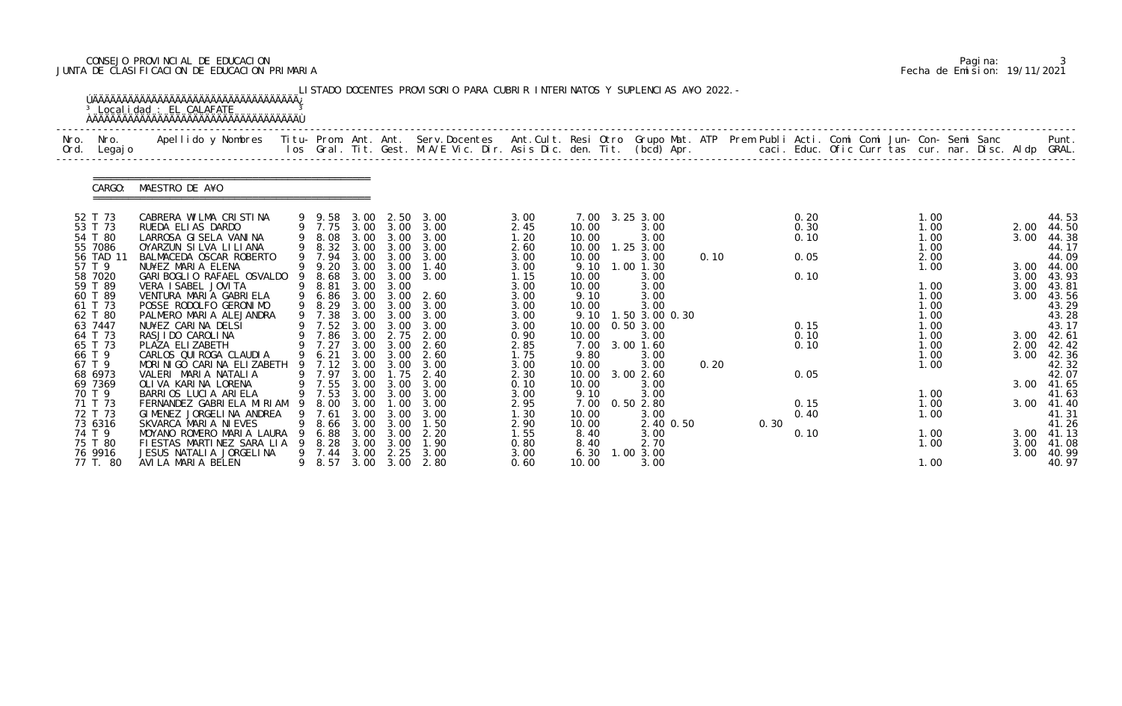# CONSEJO PROVINCIAL DE EDUCACION Pagina: 3 JUNTA DE CLASIFICACION DE EDUCACION PRIMARIA Fecha de Emision: 19/11/2021

| Nro.<br>Ord. | Nro.<br>Legaj o                                                                                                                                                                                                        | Apellido y Nombres  Titu- Prom. Ant. Ant.  Serv.Docentes  Ant.Cult. Resi Otro  Grupo Mat. ATP  Prem Publi Acti. Comi Comi Jun- Con- Semi Sanc              Punt.<br>Ios Gral. Tit. Gest. M.A/E Vic. Dir. Asis Dic. den. Tit. (bcd                                                                                                                                                                                                                                                                               |   |                                                                                                                                                                                                            |                                              |                                                                                                                                                      |                                                                                                                                                                                                                   |                                                                                                                                                              |                                                                                                                                                                  |                                                                                                                                                                                                                 |              |      |                                                                              |  |                                                                                                                                      |  |                                                                                                          |                                                                                                                                                       |
|--------------|------------------------------------------------------------------------------------------------------------------------------------------------------------------------------------------------------------------------|-----------------------------------------------------------------------------------------------------------------------------------------------------------------------------------------------------------------------------------------------------------------------------------------------------------------------------------------------------------------------------------------------------------------------------------------------------------------------------------------------------------------|---|------------------------------------------------------------------------------------------------------------------------------------------------------------------------------------------------------------|----------------------------------------------|------------------------------------------------------------------------------------------------------------------------------------------------------|-------------------------------------------------------------------------------------------------------------------------------------------------------------------------------------------------------------------|--------------------------------------------------------------------------------------------------------------------------------------------------------------|------------------------------------------------------------------------------------------------------------------------------------------------------------------|-----------------------------------------------------------------------------------------------------------------------------------------------------------------------------------------------------------------|--------------|------|------------------------------------------------------------------------------|--|--------------------------------------------------------------------------------------------------------------------------------------|--|----------------------------------------------------------------------------------------------------------|-------------------------------------------------------------------------------------------------------------------------------------------------------|
|              | CARGO:                                                                                                                                                                                                                 | MAESTRO DE A¥O                                                                                                                                                                                                                                                                                                                                                                                                                                                                                                  |   |                                                                                                                                                                                                            |                                              |                                                                                                                                                      |                                                                                                                                                                                                                   |                                                                                                                                                              |                                                                                                                                                                  |                                                                                                                                                                                                                 |              |      |                                                                              |  |                                                                                                                                      |  |                                                                                                          |                                                                                                                                                       |
|              | 52 T 73<br>53 T 73<br>54 T 80<br>55 7086<br>56 TAD 11<br>57 T 9<br>58 7020<br>59 T 89<br>60 T 89<br>61 T 73<br>62 T 80<br>63 7447<br>64 T 73<br>65 T 73<br>66 T 9<br>67 T 9<br>68 6973<br>69 7369<br>70 T 9<br>71 T 73 | CABRERA WILMA CRISTINA<br>RUEDA ELIAS DARDO<br>LARROSA GI SELA VANINA<br>OYARZUN SILVA LILIANA<br>BALMACEDA OSCAR ROBERTO<br>NU¥EZ MARIA ELENA<br>GARI BOGLIO RAFAEL OSVALDO<br>VERA I SABEL JOVI TA<br>VENTURA MARIA GABRIELA<br>POSSE RODOLFO GERONIMO<br>PALMERO MARIA ALEJANDRA<br>NU¥EZ CARINA DELSI<br>RASJI DO CAROLI NA<br>PLAZA ELIZABETH<br>CARLOS QUI ROGA CLAUDI A<br>MORINIGO CARINA ELIZABETH<br>VALERI MARIA NATALIA<br>OLIVA KARINA LORENA<br>BARRIOS LUCIA ARIELA<br>FERNANDEZ GABRIELA MIRIAM |   | 9 9.58 3.00 2.50<br>9 7.75 3.00 3.00<br>9 7.94<br>9 9.20<br>8.68<br>9 8.81<br>9 6.86<br>9 8.29<br>9 7.38<br>9 7.52 3.00<br>9 7.86 3.00<br>9 7.27<br>9 6.21<br>9 7.12<br>9 7.97<br>9 7.55 3.00 3.00<br>8.00 | 3.00<br>3.00<br>3.00<br>3.00<br>3.00<br>3.00 | 3.00<br>$3.00 \quad 3.00$<br>$3.00\quad 3.00$<br>3.00<br>$3.00 \quad 3.00$<br>3.00<br>3.00<br>2.75<br>3.00<br>3.00 3.00<br>3.00 3.00<br>1.75<br>. 00 | 3.00<br>3.00<br>9 8.08 3.00 3.00 3.00<br>9 8.32 3.00 3.00 3.00<br>3.00<br>1.40<br>3.00<br>3.00 3.00 2.60<br>3.00<br>3.00<br>3.00<br>2.00<br>2.60<br>2.60<br>3.00<br>2.40<br>3.00<br>9 7.53 3.00 3.00 3.00<br>3.00 | 3.00<br>2.45<br>1.20<br>2.60<br>3.00<br>3.00<br>1.15<br>3.00<br>3.00<br>3.00<br>3.00<br>3.00<br>0.90<br>2.85<br>1.75<br>3.00<br>2.30<br>0.10<br>3.00<br>2.95 | 10.00<br>10.00<br>10.00<br>10.00<br>9.10<br>10.00<br>10.00<br>9.10<br>10.00<br>9.10<br>10.00<br>10.00<br>7.00<br>9.80<br>10.00<br>10.00<br>10.00<br>9.10<br>7.00 | 7.00 3.25 3.00<br>3.00<br>3.00<br>$1.25$ $3.00$<br>3.00<br>1.00 1.30<br>3.00<br>3.00<br>3.00<br>3.00<br>1.50 3.00 0.30<br>0.503.00<br>3.00<br>3.00 1.60<br>3.00<br>3.00<br>3.002.60<br>3.00<br>3.00<br>0.502.80 | 0.10<br>0.20 |      | 0.20<br>0.30<br>0.10<br>0.05<br>0.10<br>0.15<br>0.10<br>0.10<br>0.05<br>0.15 |  | 1.00<br>1.00<br>1.00<br>1.00<br>2.00<br>1.00<br>1.00<br>1.00<br>1.00<br>1.00<br>1.00<br>1.00<br>1.00<br>1.00<br>1.00<br>1.00<br>1.00 |  | 2.00<br>3.00<br>3.00 44.00<br>3.00<br>3.00<br>3.00<br>$3.00$ 42.61<br>2.00<br>3.00<br>3.00<br>3.00 41.40 | 44.53<br>44.50<br>44.38<br>44.17<br>44.09<br>43.93<br>43.81<br>43.56<br>43.29<br>43.28<br>43.17<br>42.42<br>42.36<br>42.32<br>42.07<br>41.65<br>41.63 |
|              | 72 T 73<br>73 6316<br>74 T 9<br>75 T 80<br>76 9916<br>77 T. 80                                                                                                                                                         | GIMENEZ JORGELINA ANDREA<br>SKVARCA MARIA NIEVES<br>MOYANO ROMERO MARIA LAURA<br>FIESTAS MARTINEZ SARA LIA<br>JESUS NATALIA JORGELINA<br>AVILA MARIA BELEN                                                                                                                                                                                                                                                                                                                                                      | 9 | 7.61<br>8.66<br>6.88<br>8.28<br>7.44<br>8.57                                                                                                                                                               | 3.00<br>3.00<br>3.00<br>3.00<br>3.00<br>3.00 | 3.00<br>3.00<br>3.00<br>3.00<br>2.25<br>3.00                                                                                                         | 3.00<br>1.50<br>2.20<br>1.90<br>3.00<br>2.80                                                                                                                                                                      | 1.30<br>2.90<br>1.55<br>0.80<br>3.00<br>0.60                                                                                                                 | 10.00<br>10.00<br>8.40<br>8.40<br>6.30<br>10.00                                                                                                                  | 3.00<br>2.40 0.50<br>3.00<br>2.70<br>1.00 3.00<br>3.00                                                                                                                                                          |              | 0.30 | 0.40<br>0.10                                                                 |  | 1.00<br>1.00<br>1.00<br>1.00                                                                                                         |  | 3.00 41.13<br>3.00<br>3.00                                                                               | 41.31<br>41.26<br>41.08<br>40.99<br>40.97                                                                                                             |

|  | Pagi na: |                              |
|--|----------|------------------------------|
|  |          | Fecha de Emision: 19/11/2021 |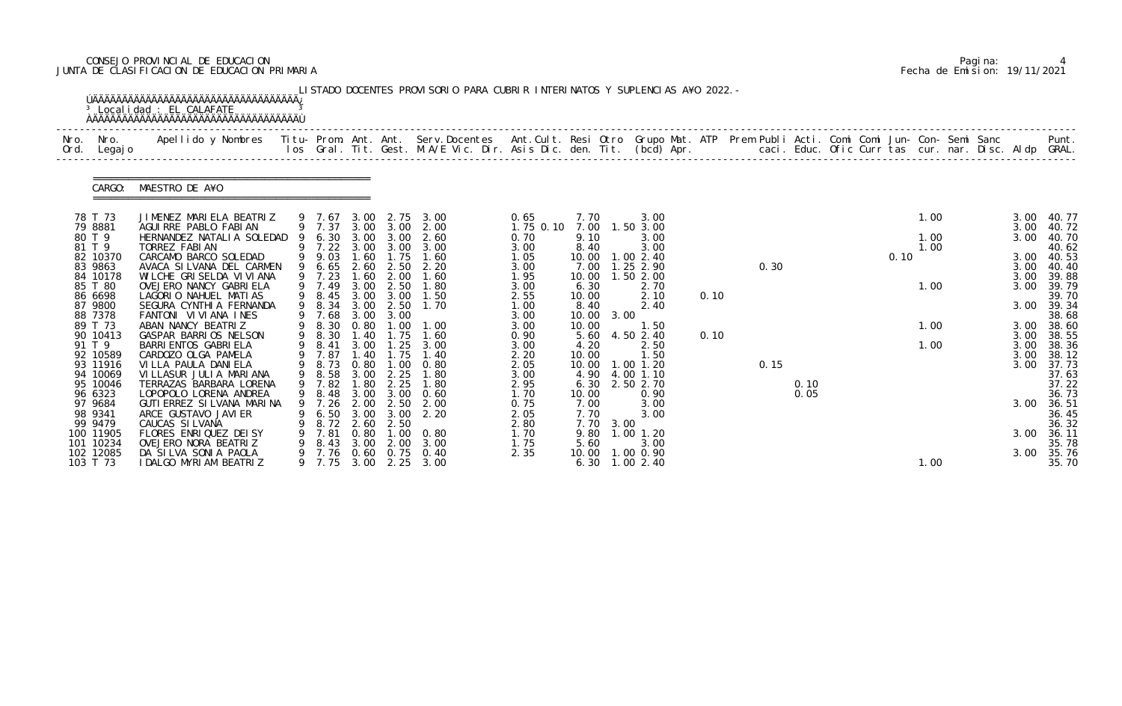# CONSEJO PROVINCIAL DE EDUCACION Pagina: 4 JUNTA DE CLASIFICACION DE EDUCACION PRIMARIA Fecha de Emision: 19/11/2021

|              |                                 | <sup>3</sup> Localidad : EL CALAFATE                                                                                                                                                                                            |        |                          |                     |                          | LISTADO DOCENTES PROVISORIO PARA CUBRIR INTERINATOS Y SUPLENCIAS A¥O 2022. - |                      |                        |                                     |      |      |      |  |      |              |  |                      |                         |
|--------------|---------------------------------|---------------------------------------------------------------------------------------------------------------------------------------------------------------------------------------------------------------------------------|--------|--------------------------|---------------------|--------------------------|------------------------------------------------------------------------------|----------------------|------------------------|-------------------------------------|------|------|------|--|------|--------------|--|----------------------|-------------------------|
| Nro.<br>Ord. | Nro.<br>Legaj o                 | Apellido y Nombres  Titu- Prom. Ant. Ant. Serv.Docentes  Ant.Cult. Resi Otro Grupo Mat. ATP Prem Publi Acti. Comi Comi Jun- Con- Semi Sanc         Punt.<br>Ios Gral. Tit. Gest. M.A/E Vic. Dir. Asis Dic. den. Tit. (bcd) Apr. |        |                          |                     |                          |                                                                              |                      |                        |                                     |      |      |      |  |      |              |  |                      |                         |
|              | CARGO:                          | MAESTRO DE A¥O                                                                                                                                                                                                                  |        |                          |                     |                          |                                                                              |                      |                        |                                     |      |      |      |  |      |              |  |                      |                         |
|              | 78 T 73<br>79 8881              | JIMENEZ MARIELA BEATRIZ<br>AGUIRRE PABLO FABIAN                                                                                                                                                                                 |        | 9 7.67<br>9 7.37         |                     | 3.00 2.75                | 3.00<br>3.00 3.00 2.00                                                       | 0.65<br>$1.75$ 0.10  | 7.70<br>7.00           | 3.00<br>1.50 3.00                   |      |      |      |  |      | 1.00         |  | 3.00<br>3.00         | 40. 77<br>40.72         |
|              | 80 T 9<br>81 T 9                | HERNANDEZ NATALIA SOLEDAD<br>TORREZ FABIAN                                                                                                                                                                                      |        | 6.30<br>9 7.22           | 3.00                | 3.00<br>3.00 3.00        | 2.60<br>3.00                                                                 | 0.70<br>3.00         | 9.10<br>8.40           | 3.00<br>3.00                        |      |      |      |  |      | 1.00<br>1.00 |  | 3.00                 | 40.70<br>40.62          |
|              | 82 10370<br>83 9863<br>84 10178 | CARCAMO BARCO SOLEDAD<br>AVACA SI LVANA DEL CARMEN<br>WILCHE GRISELDA VI VI ANA                                                                                                                                                 |        | 9 9.03<br>6.65<br>9 7.23 | 1.60<br>2.60<br>.60 | 1.75<br>2.50<br>2.00     | 1.60<br>2.20<br>1.60                                                         | 1.05<br>3.00<br>1.95 | 10.00<br>7.00<br>10.00 | 1.00 2.40<br>1.25 2.90<br>1.50 2.00 |      | 0.30 |      |  | 0.10 |              |  | 3.00<br>3.00<br>3.00 | 40.53<br>40.40<br>39.88 |
|              | 85 T 80<br>86 6698              | OVEJERO NANCY GABRIELA<br>LAGORIO NAHUEL MATIAS                                                                                                                                                                                 |        | 9 7.49<br>9 8.45         | 3.00<br>3.00        | 2.50<br>3.00             | 1.80<br>1.50                                                                 | 3.00<br>2.55         | 6.30<br>10.00          | 2.70<br>2.10                        | 0.10 |      |      |  |      | 1.00         |  | 3.00                 | 39.79<br>39.70          |
|              | 87 9800<br>88 7378              | SEGURA CYNTHIA FERNANDA<br>FANTONI VIVIANA INES                                                                                                                                                                                 |        | 9 8.34<br>9 7.68         | 3.00<br>3.00        | 2.50<br>3.00             | 1.70                                                                         | 1.00<br>3.00         | 8.40<br>10.00          | 2.40<br>3.00                        |      |      |      |  |      |              |  | 3.00                 | 39.34<br>38.68          |
|              | 89 T 73<br>90 10413             | ABAN NANCY BEATRIZ<br>GASPAR BARRIOS NELSON                                                                                                                                                                                     |        | 8.30<br>9 8.30           | 0.80<br>1.40        | .00 <sub>1</sub><br>1.75 | 1.00<br>1.60                                                                 | 3.00<br>0.90         | 10.00<br>5.60          | 1.50<br>4.50 2.40                   | 0.10 |      |      |  |      | 1.00         |  | 3.00<br>3.00         | 38.60<br>38.55          |
|              | 91 T 9                          | BARRI ENTOS GABRI ELA                                                                                                                                                                                                           | 9      | 8.41                     | 3.00                | 1.25                     | 3.00                                                                         | 3.00                 | 4.20                   | 2.50                                |      |      |      |  |      | 1.00         |  | 3.00                 | 38.36                   |
|              | 92 10589                        | CARDOZO OLGA PAMELA                                                                                                                                                                                                             |        | 7.87                     | . 40                | 1.75                     | 1.40                                                                         | 2.20                 | 10.00                  | 1.50                                |      |      |      |  |      |              |  | 3.00                 | 38.12                   |
|              | 93 11916<br>94 10069            | VI LLA PAULA DANI ELA<br>VILLASUR JULIA MARIANA                                                                                                                                                                                 | 9<br>9 | 8.73<br>8.58             | 0.80<br>3.00        | 1.00<br>2.25             | 0.80<br>1.80                                                                 | 2.05<br>3.00         | 10.00<br>4.90          | 1.00 1.20<br>4.00 1.10              |      | 0.15 |      |  |      |              |  | 3.00                 | 37.73<br>37.63          |
|              | 95 10046                        | TERRAZAS BARBARA LORENA                                                                                                                                                                                                         |        | 9 7.82                   | .80                 | 2.25                     | 1.80                                                                         | 2.95                 | 6.30                   | 2.50 2.70                           |      |      | 0.10 |  |      |              |  |                      | 37.22                   |
|              | 96 6323                         | LOPOPOLO LORENA ANDREA                                                                                                                                                                                                          |        | 9 8.48                   | 3.00                | 3.00                     | 0.60                                                                         | 1.70                 | 10.00                  | 0.90                                |      |      | 0.05 |  |      |              |  |                      | 36.73                   |
|              | 97 9684<br>98 9341              | GUTI ERREZ SI LVANA MARI NA                                                                                                                                                                                                     | 9      | 7.26                     | 2.00                | 2.50                     | 2.00                                                                         | 0.75                 | 7.00                   | 3.00                                |      |      |      |  |      |              |  | 3.00                 | 36.51                   |
|              | 99 9479                         | ARCE GUSTAVO JAVI ER<br>CAUCAS SILVANA                                                                                                                                                                                          |        | 6.50<br>8.72             | 3.00<br>2.60        | 3.00<br>2.50             | 2.20                                                                         | 2.05<br>2.80         | 7.70<br>7.70           | 3.00<br>3.00                        |      |      |      |  |      |              |  |                      | 36.45<br>36.32          |
|              | 100 11905                       | FLORES ENRIQUEZ DEISY                                                                                                                                                                                                           |        | 7.81                     | 0.80                | 1.00                     | 0. 80                                                                        | 1.70                 | 9.80                   | $1.00$ $1.20$                       |      |      |      |  |      |              |  | 3.00                 | 36.11                   |
|              | 101 10234                       | OVEJERO NORA BEATRIZ                                                                                                                                                                                                            |        | 8.43                     | 3.00                | 2.00                     | 3.00                                                                         | 1.75                 | 5.60                   | 3.00                                |      |      |      |  |      |              |  |                      | 35.78                   |
|              | 102 12085<br>103 T 73           | DA SILVA SONIA PAOLA<br>I DALGO MYRIAM BEATRIZ                                                                                                                                                                                  |        | 7.76<br>9 7.75           | 0.60                | 0.75                     | 0.40<br>3.00 2.25 3.00                                                       | 2.35                 | 10.00                  | 1.00 0.90<br>6.30 1.00 2.40         |      |      |      |  |      | 1.00         |  | 3.00                 | 35.76<br>35.70          |

|  | Pagi na: |                              |
|--|----------|------------------------------|
|  |          | Fecha de Emision: 19/11/2021 |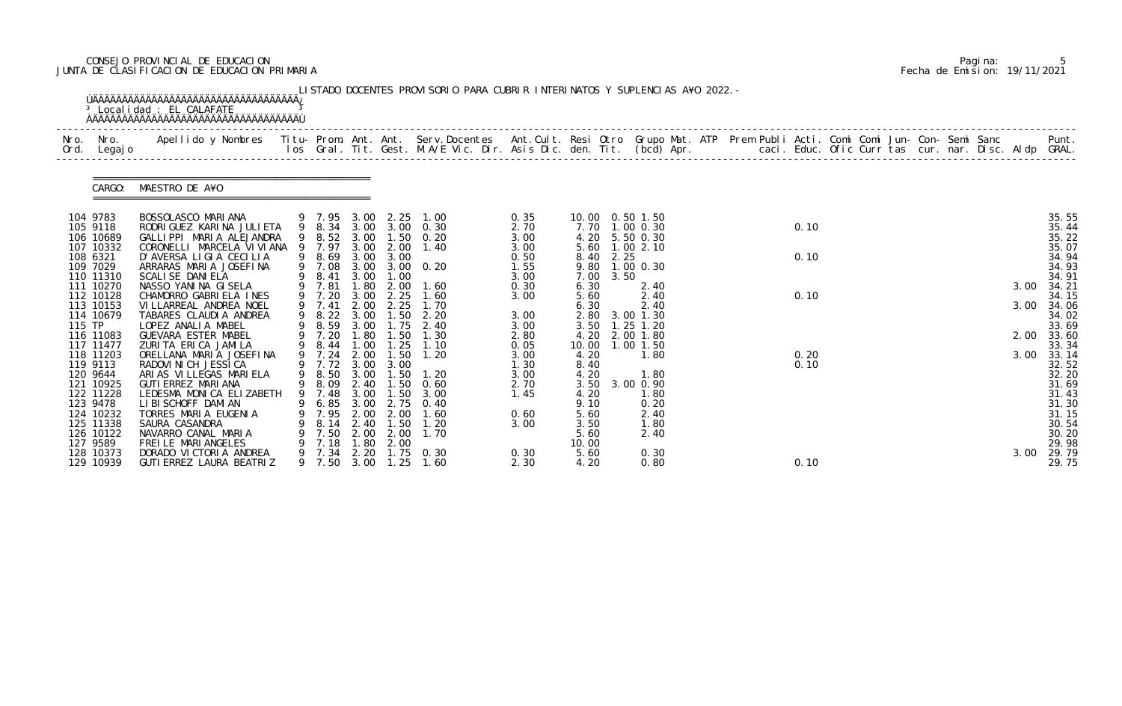# CONSEJO PROVINCIAL DE EDUCACION Pagina: 5 JUNTA DE CLASIFICACION DE EDUCACION PRIMARIA Fecha de Emision: 19/11/2021

| Nro.<br>Ord. | Nro. In the Nro.<br>Legaj o                                                                                                | Apellido y Nombres - Titu- Prom. Ant. Ant. Serv.Docentes - Ant.Cult. Resi Otro Grupo Mat. ATP - Prem Publi Acti. Comi Comi Jun- Con- Semi Sanc - - - Punt.<br>Ios Gral. Tit. Gest. M.A/E Vic. Dir. Asis Dic. den. Tit. (bcd) Apr.            |                                                                                                       |                                                              |                                                                      |                                                                                                          |                                                      |                                                                       |                   |                                                                                           |  |              |  |  |  |                      |                                                                                        |
|--------------|----------------------------------------------------------------------------------------------------------------------------|----------------------------------------------------------------------------------------------------------------------------------------------------------------------------------------------------------------------------------------------|-------------------------------------------------------------------------------------------------------|--------------------------------------------------------------|----------------------------------------------------------------------|----------------------------------------------------------------------------------------------------------|------------------------------------------------------|-----------------------------------------------------------------------|-------------------|-------------------------------------------------------------------------------------------|--|--------------|--|--|--|----------------------|----------------------------------------------------------------------------------------|
|              |                                                                                                                            | CARGO: MAESTRO DE A¥O                                                                                                                                                                                                                        |                                                                                                       |                                                              |                                                                      |                                                                                                          |                                                      |                                                                       |                   |                                                                                           |  |              |  |  |  |                      |                                                                                        |
|              | 104 9783<br>105 9118<br>106 10689<br>107 10332<br>108 6321<br>109 7029<br>110 11310                                        | BOSSOLASCO MARIANA<br>RODRI GUEZ KARI NA JULI ETA<br>GALLIPPI MARIA ALEJANDRA<br>CORONELLI MARCELA VI VI ANA<br>D'AVERSA LIGIA CECILIA<br>ARRARAS MARIA JOSEFINA<br>SCALI SE DANI ELA                                                        | 9 7.97<br>9 8.69<br>9 8.41                                                                            | 3.00<br>3.00<br>3.00                                         | 2.00<br>3.00<br>1.00                                                 | 9 7.95 3.00 2.25 1.00<br>9 8.34 3.00 3.00 0.30<br>9 8.52 3.00 1.50 0.20<br>1.40<br>9 7.08 3.00 3.00 0.20 | 0.35<br>2.70<br>3.00<br>3.00<br>0.50<br>1.55<br>3.00 | 7.00                                                                  | 8.40 2.25<br>3.50 | 10.00  0.50  1.50<br>7.70 1.00 0.30<br>4.20 5.50 0.30<br>5.60 1.00 2.10<br>9.80 1.00 0.30 |  | 0.10<br>0.10 |  |  |  |                      | 35.55<br>35.44<br>35.22<br>35.07<br>34.94<br>34.93<br>34.91                            |
| 115 TP       | 111 10270<br>112 10128<br>113 10153<br>114 10679<br>116 11083<br>117 11477                                                 | NASSO YANINA GISELA<br>CHAMORRO GABRIELA INES<br>VI LLARREAL ANDREA NOEL<br>TABARES CLAUDIA ANDREA<br>LOPEZ ANALIA MABEL<br>GUEVARA ESTER MABEL<br>ZURITA ERICA JAMILA                                                                       | 9 7.81<br>9 7.20<br>$9$ 7.41<br>9 8.22<br>9 8.59<br>9 7.20<br>9 8.44                                  | 1.80<br>3.00<br>2.00<br>3.00<br>3.00<br>1.80<br>1.00         | 2.00<br>2.25<br>2.25<br>1.50<br>1.75<br>1.50<br>1.25                 | 1.60<br>1.60<br>1.70<br>2.20<br>2.40<br>1.30<br>1.10                                                     | 0.30<br>3.00<br>3.00<br>3.00<br>2.80<br>0.05         | 6.30<br>5.60<br>6.30<br>3.50<br>4.20<br>10.00                         |                   | 2.40<br>2.40<br>2.40<br>2.80 3.00 1.30<br>$1.25$ $1.20$<br>2.00 1.80<br>$1.00$ $1.50$     |  | 0.10         |  |  |  | 3.00<br>3.00<br>2.00 | 34.21<br>34.15<br>34.06<br>34.02<br>33.69<br>33.60<br>33.34                            |
|              | 118 11203<br>119 9113<br>120 9644<br>121 10925<br>122 11228<br>123 9478<br>124 10232<br>125 11338<br>126 10122<br>127 9589 | ORELLANA MARIA JOSEFINA<br>RADOVI NI CH JESSI CA<br>ARIAS VILLEGAS MARIELA<br>GUTI ERREZ MARI ANA<br>LEDESMA MONICA ELIZABETH<br>LI BI SCHOFF DAMI AN<br>TORRES MARIA EUGENIA<br>SAURA CASANDRA<br>NAVARRO CANAL MARIA<br>FREILE MARIANGELES | 9 7.24<br>9 7.72 3.00 3.00<br>9 8.50<br>9 8.09 2.40<br>9 7.48<br>6.85<br>7.95<br>8.14<br>7.50<br>7.18 | 2.00<br>3.00<br>3.00<br>3.00<br>2.00<br>2.40<br>2.00<br>. 80 | 1.50<br>1.50<br>1.50<br>1.50<br>2.75<br>2.00<br>1.50<br>2.00<br>2.00 | 1.20<br>1.20<br>0.60<br>3.00<br>0.40<br>1.60<br>1.20<br>1.70                                             | 3.00<br>1.30<br>3.00<br>2.70<br>1.45<br>0.60<br>3.00 | 4.20<br>8.40<br>4.20<br>4.20<br>9.10<br>5.60<br>3.50<br>5.60<br>10.00 |                   | 1.80<br>1.80<br>3.50 3.00 0.90<br>1.80<br>0.20<br>2.40<br>1.80<br>2.40                    |  | 0.20<br>0.10 |  |  |  | 3.00                 | 33.14<br>32.52<br>32.20<br>31.69<br>31.43<br>31.30<br>31.15<br>30.54<br>30.20<br>29.98 |
|              | 128 10373<br>129 10939                                                                                                     | DORADO VICTORIA ANDREA<br>GUTI ERREZ LAURA BEATRIZ                                                                                                                                                                                           | 7.34<br>9 7.50                                                                                        | 2.20<br>3.00                                                 | 1.25                                                                 | $1.75 \t 0.30$<br>1.60                                                                                   | 0.30<br>2.30                                         | 5.60<br>4.20                                                          |                   | 0.30<br>0.80                                                                              |  | 0.10         |  |  |  | 3.00                 | 29.79<br>29.75                                                                         |

|  | Pagi na: |                              |
|--|----------|------------------------------|
|  |          | Fecha de Emision: 19/11/2021 |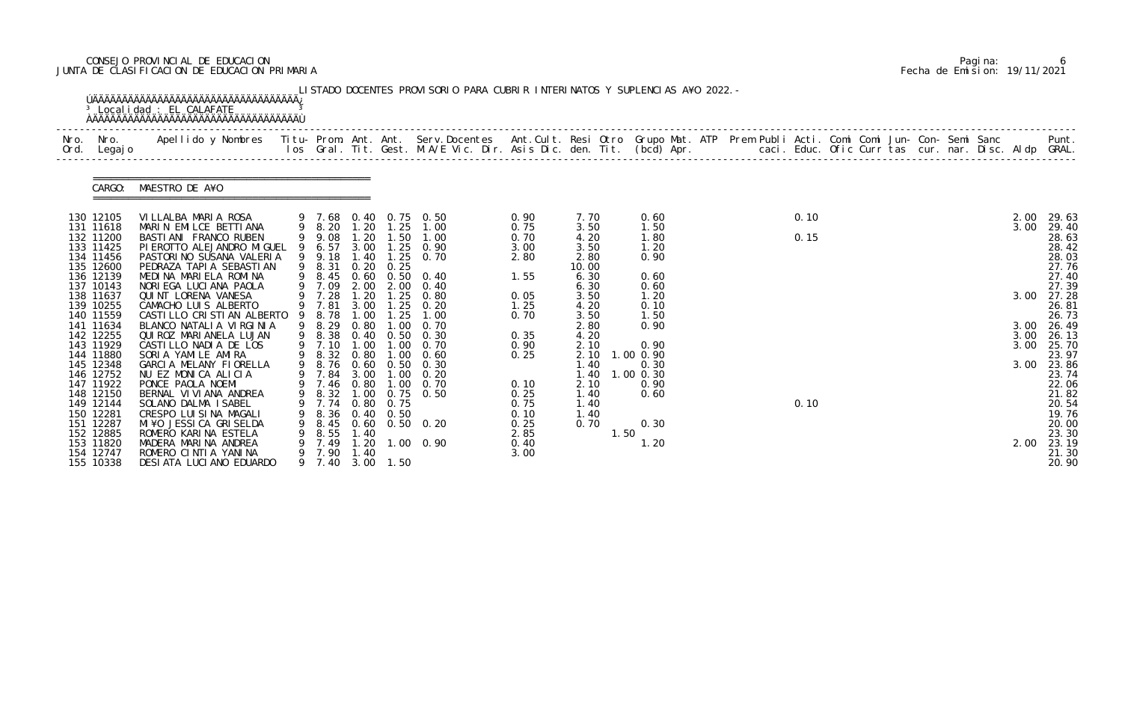# CONSEJO PROVINCIAL DE EDUCACION Pagina: 6 JUNTA DE CLASIFICACION DE EDUCACION PRIMARIA Fecha de Emision: 19/11/2021

| Nro.<br>Ord. | Nro.<br>Legaj o        | Apellido y Nombres - Titu- Prom. Ant. Ant. Serv.Docentes - Ant.Cult. Resi Otro Grupo Mat. ATP Prem Publi Acti. Comi Comi Jun- Con- Semi Sanc - - - Punt.<br>Ios Gral. Tit. Gest. M.A/E Vic. Dir. Asis Dic. den. Tit. (bcd) Apr. - |   |                |                            |                               |                              |              |              |                     |  |      |  |  |      |                |
|--------------|------------------------|-----------------------------------------------------------------------------------------------------------------------------------------------------------------------------------------------------------------------------------|---|----------------|----------------------------|-------------------------------|------------------------------|--------------|--------------|---------------------|--|------|--|--|------|----------------|
|              | CARGO:                 | MAESTRO DE A¥O                                                                                                                                                                                                                    |   |                |                            |                               |                              |              |              |                     |  |      |  |  |      |                |
|              | 130 12105              | VILLALBA MARIA ROSA                                                                                                                                                                                                               |   | 9 7.68         |                            |                               | 0.40 0.75 0.50               | 0.90         | 7.70         | 0.60                |  | 0.10 |  |  | 2.00 | 29.63          |
|              | 131 11618              | MARIN EMILCE BETTIANA<br>BASTI ANI FRANCO RUBEN                                                                                                                                                                                   |   | 9 8.20         | 1.20                       | 1.25                          | 1.00                         | 0.75         | 3.50         | 1.50                |  |      |  |  | 3.00 | 29.40          |
|              | 132 11200<br>133 11425 | PI EROTTO ALEJANDRO MI GUEL                                                                                                                                                                                                       | 9 | 9 9.08<br>6.57 | 1.20                       | 1.50                          | 1.00<br>3.00 1.25 0.90       | 0.70<br>3.00 | 4.20<br>3.50 | 1.80<br>1.20        |  | 0.15 |  |  |      | 28.63<br>28.42 |
|              | 134 11456              | PASTORINO SUSANA VALERIA                                                                                                                                                                                                          |   | 9 9.18         | 1.40                       | $\overline{\phantom{0}}$ . 25 | 0.70                         | 2.80         | 2.80         | 0.90                |  |      |  |  |      | 28.03          |
|              | 135 12600              | PEDRAZA TAPI A SEBASTI AN                                                                                                                                                                                                         |   | 9 8.31         | 0.20                       | 0.25                          |                              |              | 10.00        |                     |  |      |  |  |      | 27.76          |
|              | 136 12139              | MEDINA MARIELA ROMINA                                                                                                                                                                                                             | 9 | 8.45           | 0.60                       | 0.50                          | 0.40                         | 1.55         | 6.30         | 0.60                |  |      |  |  |      | 27.40          |
|              | 137 10143              | NORIEGA LUCIANA PAOLA                                                                                                                                                                                                             |   | 7.09           | 2.00                       | 2.00                          | 0.40                         |              | 6.30         | 0.60                |  |      |  |  |      | 27.39          |
|              | 138 11637<br>139 10255 | QUINT LORENA VANESA<br>CAMACHO LUIS ALBERTO                                                                                                                                                                                       |   | 7.28<br>9 7.81 | 1.20<br>3.00               | 1.25<br>1.25                  | 0.80<br>0. 20                | 0.05<br>1.25 | 3.50<br>4.20 | 1.20<br>0.10        |  |      |  |  | 3.00 | 27.28<br>26.81 |
|              | 140 11559              | CASTILLO CRISTIAN ALBERTO                                                                                                                                                                                                         | 9 | 8.78           | $\overline{\phantom{0}}$ . | .25                           | 1.00                         | 0.70         | 3.50         | 1.50                |  |      |  |  |      | 26.73          |
|              | 141 11634              | BLANCO NATALIA VIRGINIA                                                                                                                                                                                                           |   | 9 8.29         | 0.80                       | $\overline{0}$ .              | 0.70                         |              | 2.80         | 0.90                |  |      |  |  |      | 3.00 26.49     |
|              | 142 12255              | QUI ROZ MARI ANELA LUJAN                                                                                                                                                                                                          |   | 9 8.38         |                            | $0.40 \quad 0.50$             | 0.30                         | 0.35         | 4.20         |                     |  |      |  |  | 3.00 | 26.13          |
|              | 143 11929              | CASTILLO NADIA DE LOS                                                                                                                                                                                                             |   | 7.10           | 1.00                       | $\overline{\phantom{0}}$ .    | 0.70                         | 0.90         | 2.10         | 0.90                |  |      |  |  | 3.00 | 25.70          |
|              | 144 11880              | SORIA YAMILE AMIRA                                                                                                                                                                                                                |   | 9 8.32         | 0.80                       | 1.00                          | 0.60                         | 0.25         | 2.10         | .0000.90            |  |      |  |  |      | 23.97          |
|              | 145 12348<br>146 12752 | GARCIA MELANY FIORELLA<br>NU EZ MONICA ALICIA                                                                                                                                                                                     | 9 | 8.76<br>7.84   | 3.00                       | $\overline{\phantom{0}}$ .    | $0.60$ $0.50$ $0.30$<br>0.20 |              | 1.40<br>1.40 | 0.30<br>$1.00$ 0.30 |  |      |  |  | 3.00 | 23.86<br>23.74 |
|              | 147 11922              | PONCE PAOLA NOEMI                                                                                                                                                                                                                 |   | 9 7.46         | 0.80                       | 1.00                          | 0.70                         | 0.10         | 2.10         | 0.90                |  |      |  |  |      | 22.06          |
|              | 148 12150              | BERNAL VI VI ANA ANDREA                                                                                                                                                                                                           |   | 9 8.32         | 1.00                       | 0.75                          | 0.50                         | 0.25         | 1.40         | 0.60                |  |      |  |  |      | 21.82          |
|              | 149 12144              | SOLANO DALMA ISABEL                                                                                                                                                                                                               |   |                | 0. 80                      | 0.75                          |                              | 0.75         | 1.40         |                     |  | 0.10 |  |  |      | 20.54          |
|              | 150 12281              | CRESPO LUISINA MAGALI                                                                                                                                                                                                             |   | 8.36           |                            | $0.40\quad 0.50$              |                              | 0.10         | 1.40         |                     |  |      |  |  |      | 19.76          |
|              | 151 12287              | MI¥O JESSICA GRISELDA                                                                                                                                                                                                             | 9 | 8.45           |                            |                               | $0.60$ $0.50$ $0.20$         | 0.25         | 0.70         | 0.30                |  |      |  |  |      | 20.00          |
|              | 152 12885<br>153 11820 | ROMERO KARINA ESTELA                                                                                                                                                                                                              | 9 | 8.55           | 1.40<br>1.20               |                               |                              | 2.85         | 1.50         |                     |  |      |  |  |      | 23.30<br>23.19 |
|              | 154 12747              | MADERA MARINA ANDREA<br>ROMERO CINTIA YANINA                                                                                                                                                                                      |   | 7.49<br>9 7.90 | 1.40                       |                               | $1.00 \t 0.90$               | 0.40<br>3.00 |              | 1.20                |  |      |  |  | 2.00 | 21.30          |
|              | 155 10338              | DESIATA LUCIANO EDUARDO                                                                                                                                                                                                           |   | 9 7.40         |                            | $3.00$ 1.50                   |                              |              |              |                     |  |      |  |  |      | 20.90          |

|  | Pagi na: |                              |
|--|----------|------------------------------|
|  |          | Fecha de Emision: 19/11/2021 |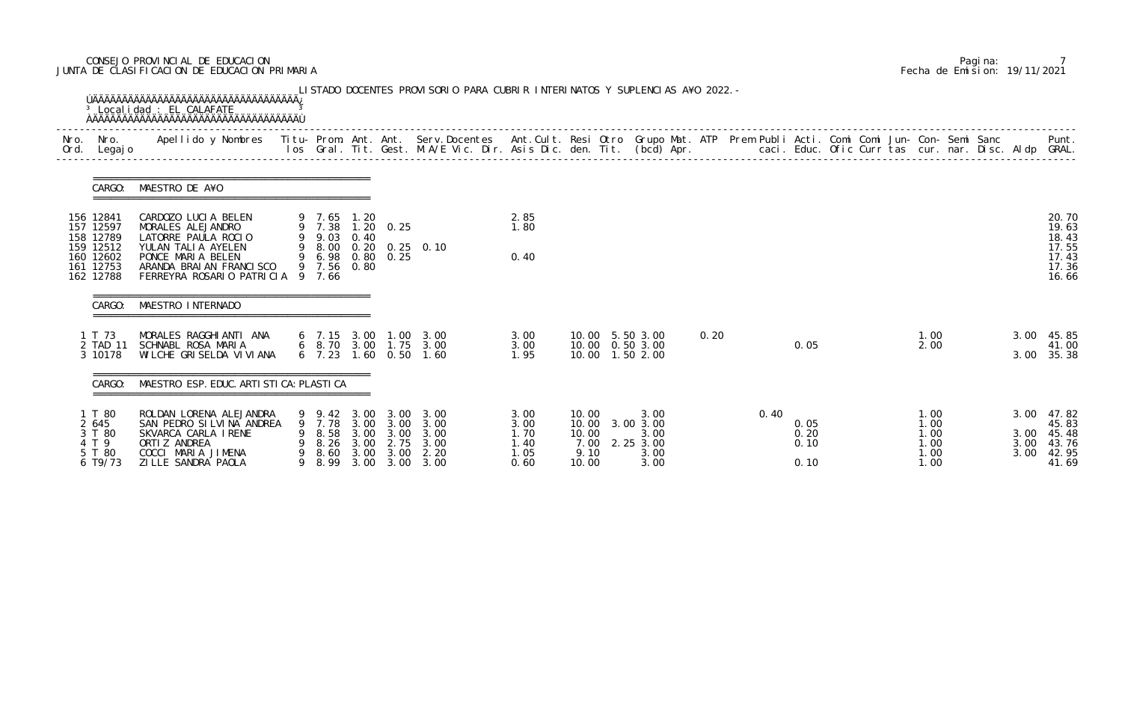# CONSEJO PROVINCIAL DE EDUCACION Pagina: 7 JUNTA DE CLASIFICACION DE EDUCACION PRIMARIA Fecha de Emision: 19/11/2021

| Nro.<br>Ord. | Nro.<br>Legaj o                                               | Apellido y Nombres - Titu- Prom. Ant. Ant. Serv.Docentes - Ant.Cult. Resi Otro Grupo Mat. ATP Prem Publi Acti. Comi Comi Jun- Con- Semi Sanc - - - Punt.<br>Ios Gral. Tit. Gest. M.A/E Vic. Dir. Asis Dic. den. Tit. (bcd) Apr. - |   |                                               |                                              |                                              |                                                        |                                              |                                                  |                                                           |      |      |                              |  |                                              |  |                      |                                                           |
|--------------|---------------------------------------------------------------|-----------------------------------------------------------------------------------------------------------------------------------------------------------------------------------------------------------------------------------|---|-----------------------------------------------|----------------------------------------------|----------------------------------------------|--------------------------------------------------------|----------------------------------------------|--------------------------------------------------|-----------------------------------------------------------|------|------|------------------------------|--|----------------------------------------------|--|----------------------|-----------------------------------------------------------|
|              | CARGO:                                                        | MAESTRO DE A¥O                                                                                                                                                                                                                    |   |                                               |                                              |                                              |                                                        |                                              |                                                  |                                                           |      |      |                              |  |                                              |  |                      |                                                           |
|              | 156 12841<br>157 12597                                        | CARDOZO LUCIA BELEN<br>MORALES ALEJANDRO<br>LATORRE PAULA ROCIO                                                                                                                                                                   |   | 9 7.65 1.20<br>9 7.38<br>9 9.03               | 0.40                                         | $1.20 \quad 0.25$                            |                                                        | 2.85<br>1.80                                 |                                                  |                                                           |      |      |                              |  |                                              |  |                      | 20.70<br>19.63                                            |
|              | 158 12789<br>159 12512<br>160 12602<br>161 12753<br>162 12788 | YULAN TALIA AYELEN<br>PONCE MARIA BELEN<br>ARANDA BRAIAN FRANCISCO<br>FERREYRA ROSARIO PATRICIA 9 7.66                                                                                                                            |   | 9 6.98 0.80 0.25<br>9 7.56                    | 0.80                                         |                                              | 9 8.00 0.20 0.25 0.10                                  | 0.40                                         |                                                  |                                                           |      |      |                              |  |                                              |  |                      | 18.43<br>17.55<br>17.43<br>17.36<br>16.66                 |
|              | CARGO:                                                        | MAESTRO INTERNADO                                                                                                                                                                                                                 |   |                                               |                                              |                                              |                                                        |                                              |                                                  |                                                           |      |      |                              |  |                                              |  |                      |                                                           |
|              | 1 T 73<br>2 TAD 11<br>3 10178                                 | MORALES RAGGHIANTI ANA<br>SCHNABL ROSA MARIA<br>WILCHE GRISELDA VI VI ANA                                                                                                                                                         |   | 6, 7.23                                       |                                              | $1.60 \quad 0.50$                            | 6 7.15 3.00 1.00 3.00<br>6 8.70 3.00 1.75 3.00<br>1.60 | 3.00<br>3.00<br>1.95                         |                                                  | 10.00 5.50 3.00<br>10.00  0.50  3.00<br>10.00  1.50  2.00 | 0.20 |      | 0.05                         |  | 1.00<br>2.00                                 |  | 3.00<br>3.00         | 45.85<br>41.00<br>35.38                                   |
|              | CARGO:                                                        | MAESTRO ESP. EDUC. ARTI STI CA: PLASTI CA                                                                                                                                                                                         |   |                                               |                                              |                                              |                                                        |                                              |                                                  |                                                           |      |      |                              |  |                                              |  |                      |                                                           |
|              | T 80<br>2 645<br>3 T 80<br>4 T 9<br>5 T 80<br>6 T9/73         | ROLDAN LORENA ALEJANDRA<br>SAN PEDRO SI LVI NA ANDREA<br>SKVARCA CARLA IRENE<br>ORTI Z ANDREA<br>COCCI MARIA JIMENA<br>ZI LLE SANDRA PAOLA                                                                                        | 9 | 9.42<br>7. 78<br>8.58<br>8.26<br>8.60<br>8.99 | 3.00<br>3.00<br>3.00<br>3.00<br>3.00<br>3.00 | 3.00<br>3.00<br>3.00<br>2.75<br>3.00<br>3.00 | 3.00<br>3.00<br>3.00<br>3.00<br>2.20<br>3.00           | 3.00<br>3.00<br>1.70<br>1.40<br>1.05<br>0.60 | 10.00<br>10.00<br>10.00<br>7.00<br>9.10<br>10.00 | 3.00<br>3.00 3.00<br>3.00<br>2.25 3.00<br>3.00<br>3.00    |      | 0.40 | 0.05<br>0.20<br>0.10<br>0.10 |  | 1.00<br>1.00<br>1.00<br>1.00<br>1.00<br>1.00 |  | 3.00<br>3.00<br>3.00 | $3.00$ 47.82<br>45.83<br>45.48<br>43.76<br>42.95<br>41.69 |

|  | Pagi na: |                              |
|--|----------|------------------------------|
|  |          | Fecha de Emision: 19/11/2021 |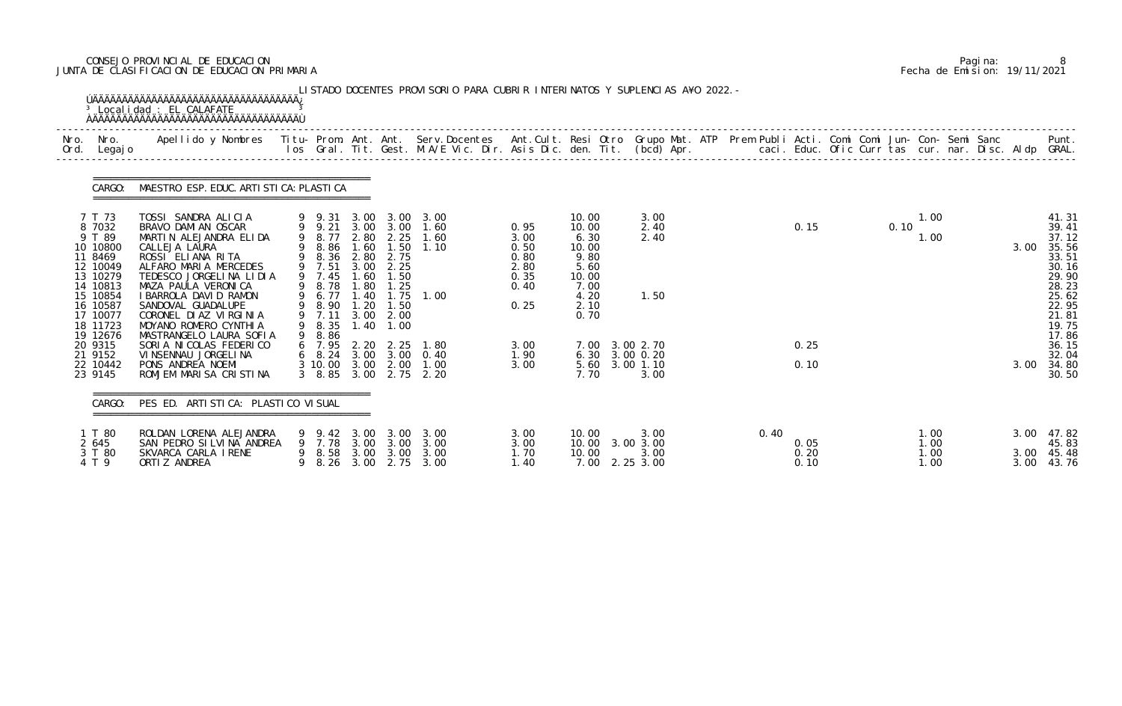# CONSEJO PROVINCIAL DE EDUCACION Pagina: 8 JUNTA DE CLASIFICACION DE EDUCACION PRIMARIA Fecha de Emision: 19/11/2021

| Nro.<br>Ord. | Nro.<br>Legaj o                                                                                                                       | Apellido y Nombres - Titu- Prom. Ant. Ant. Serv.Docentes - Ant.Cult. Resi Otro Grupo Mat. ATP - Prem Publi Acti. Comi Comi Jun- Con- Semi Sanc - - - - Punt.<br>Ios Gral. Tit. Gest. M.A/E Vic. Dir. Asis Dic. den. Tit. (bcd) Ap                                                       |   |                                                                                                                          |                                                                                      |                                                                                           |                                                         |                                                              |                                                                                          |                              |      |                      |  |      |                              |  |              |                                                                                                          |
|--------------|---------------------------------------------------------------------------------------------------------------------------------------|-----------------------------------------------------------------------------------------------------------------------------------------------------------------------------------------------------------------------------------------------------------------------------------------|---|--------------------------------------------------------------------------------------------------------------------------|--------------------------------------------------------------------------------------|-------------------------------------------------------------------------------------------|---------------------------------------------------------|--------------------------------------------------------------|------------------------------------------------------------------------------------------|------------------------------|------|----------------------|--|------|------------------------------|--|--------------|----------------------------------------------------------------------------------------------------------|
|              | CARGO:                                                                                                                                | MAESTRO ESP. EDUC. ARTI STI CA: PLASTI CA                                                                                                                                                                                                                                               |   |                                                                                                                          |                                                                                      |                                                                                           |                                                         |                                                              |                                                                                          |                              |      |                      |  |      |                              |  |              |                                                                                                          |
|              | 7 T 73<br>8 7032<br>9 T 89<br>10 10800<br>11 8469<br>12 10049<br>13 10279<br>14 10813<br>15 10854<br>16 10587<br>17 10077<br>18 11723 | TOSSI SANDRA ALICIA<br>BRAVO DAMI AN OSCAR<br>MARTIN ALEJANDRA ELIDA<br>CALLEJA LAURA<br>ROSSI ELIANA RITA<br>ALFARO MARIA MERCEDES<br>TEDESCO JORGELINA LIDIA<br>MAZA PAULA VERONICA<br>I BARROLA DAVI D RAMON<br>SANDOVAL GUADALUPE<br>CORONEL DIAZ VIRGINIA<br>MOYANO ROMERO CYNTHIA |   | $9$ $9$ $31$<br>$9$ $9$ 21<br>9 8.77<br>8.86<br>8.36<br>9 7.51<br>9 7.45<br>9 8.78<br>9 6.77<br>8.90<br>9 7.11<br>9 8.35 | 3.00<br>3.00<br>1.60<br>2.80<br>3.00<br>1.60<br>1.80<br>1.40<br>1.20<br>3.00<br>1.40 | 3.00<br>3.00<br>2.80 2.25<br>1.50<br>2.75<br>2.25<br>1.50<br>1.25<br>1.50<br>2.00<br>1.00 | 3.00<br>1.60<br>1.60<br>1.10<br>1.75 1.00               | 0.95<br>3.00<br>0.50<br>0.80<br>2.80<br>0.35<br>0.40<br>0.25 | 10.00<br>10.00<br>6.30<br>10.00<br>9.80<br>5.60<br>10.00<br>7.00<br>4.20<br>2.10<br>0.70 | 3.00<br>2.40<br>2.40<br>1.50 |      | 0.15                 |  | 0.10 | 1.00<br>1.00                 |  | 3.00         | 41.31<br>39.41<br>37.12<br>35.56<br>33.51<br>30.16<br>29.90<br>28.23<br>25.62<br>22.95<br>21.81<br>19.75 |
|              | 19 12676<br>20 9315<br>21 9152<br>22 10442<br>23 9145                                                                                 | MASTRANGELO LAURA SOFIA<br>SORIA NICOLAS FEDERICO<br>VI NSENNAU JORGELI NA<br>PONS ANDREA NOEMI<br>ROMJEM MARISA CRISTINA                                                                                                                                                               | 9 | 8.86<br>6 7.95<br>3 8.85                                                                                                 | 2.20<br>3.00                                                                         | 2.25<br>3 10 00 3 00 2 00<br>2.75                                                         | 1.80<br>6 8.24 3.00 3.00 0.40<br>1.00<br>2.20           | 3.00<br>1.90<br>3.00                                         | 7.00 3.00 2.70<br>6.30 3.00 0.20<br>5.60 3.00 1.10<br>7.70                               | 3.00                         |      | 0.25<br>0.10         |  |      |                              |  | 3.00         | 17.86<br>36.15<br>32.04<br>34.80<br>30.50                                                                |
|              | CARGO:                                                                                                                                | PES ED. ARTI STI CA: PLASTI CO VI SUAL                                                                                                                                                                                                                                                  |   |                                                                                                                          |                                                                                      |                                                                                           |                                                         |                                                              |                                                                                          |                              |      |                      |  |      |                              |  |              |                                                                                                          |
|              | 1 T 80<br>2 645<br>3 T 80<br>4 T 9                                                                                                    | ROLDAN LORENA ALEJANDRA<br>SAN PEDRO SILVINA ANDREA<br>SKVARCA CARLA IRENE<br>ORTI Z ANDREA                                                                                                                                                                                             |   | 9 9.42 3.00<br>9 8.26 3.00                                                                                               |                                                                                      | 9 7.78 3.00 3.00                                                                          | 3.00 3.00<br>3.00<br>9 8.58 3.00 3.00 3.00<br>2.75 3.00 | 3.00<br>3.00<br>1.70<br>1.40                                 | 10.00<br>10.00 3.00 3.00<br>10.00<br>7.00 2.25 3.00                                      | 3.00<br>3.00                 | 0.40 | 0.05<br>0.20<br>0.10 |  |      | 1.00<br>1.00<br>1.00<br>1.00 |  | 3.00<br>3.00 | 47.82<br>45.83<br>3.00 45.48<br>43.76                                                                    |

|  | Pagi na: |                              |
|--|----------|------------------------------|
|  |          | Fecha de Emision: 19/11/2021 |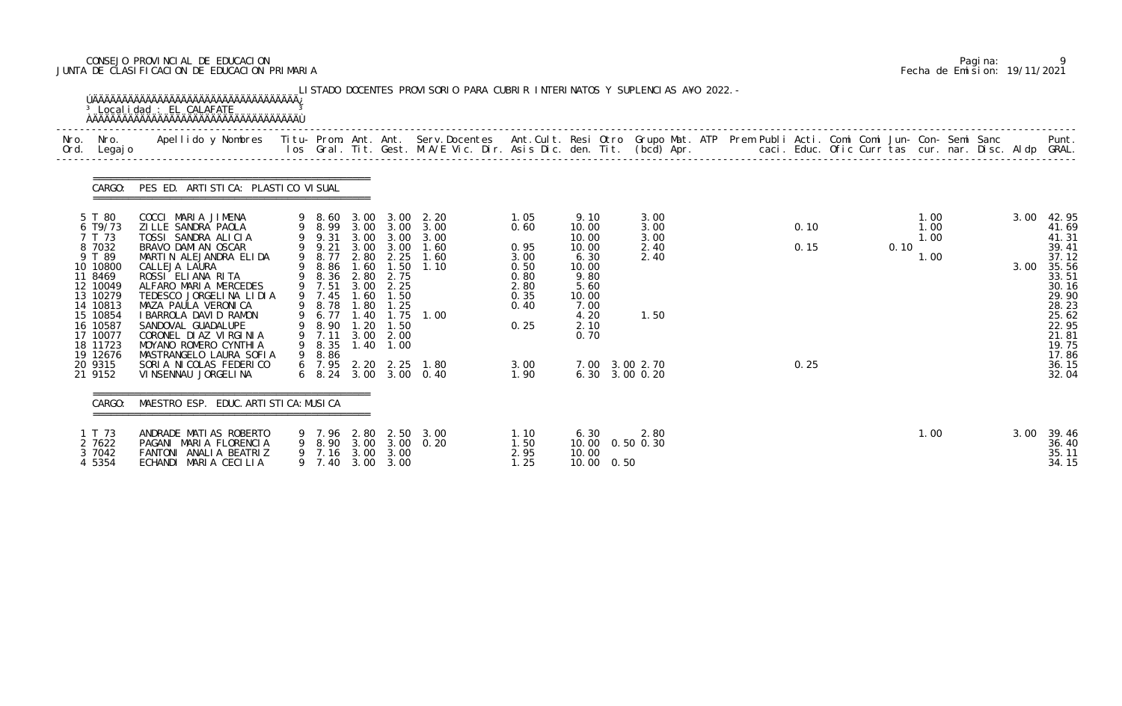# CONSEJO PROVINCIAL DE EDUCACION Pagina: 9 JUNTA DE CLASIFICACION DE EDUCACION PRIMARIA Fecha de Emision: 19/11/2021

| Nro. Nro.<br>Ord. Legajo                                                                                                                                                                     | Apellido y Nombres  Titu- Prom. Ant. Ant. Serv.Docentes  Ant.Cult. Resi Otro Grupo Mat. ATP Prem Publi Acti. Comi Comi Jun- Con- Semi Sanc         Punt.<br>Ios Gral. Tit. Gest. M.A/E Vic. Dir. Asis Dic. den. Tit. (bcd) Apr.                                                                                                                                                                                   |                                                                                                                                     |                                                      |                                                                            |                                                                                                                                                                                |                                                                                              |                                                                                                                                               |                                              |                      |                                      |              |                                                                                                                                                       |
|----------------------------------------------------------------------------------------------------------------------------------------------------------------------------------------------|-------------------------------------------------------------------------------------------------------------------------------------------------------------------------------------------------------------------------------------------------------------------------------------------------------------------------------------------------------------------------------------------------------------------|-------------------------------------------------------------------------------------------------------------------------------------|------------------------------------------------------|----------------------------------------------------------------------------|--------------------------------------------------------------------------------------------------------------------------------------------------------------------------------|----------------------------------------------------------------------------------------------|-----------------------------------------------------------------------------------------------------------------------------------------------|----------------------------------------------|----------------------|--------------------------------------|--------------|-------------------------------------------------------------------------------------------------------------------------------------------------------|
|                                                                                                                                                                                              | CARGO: PES ED. ARTISTICA: PLASTICO VISUAL                                                                                                                                                                                                                                                                                                                                                                         |                                                                                                                                     |                                                      |                                                                            |                                                                                                                                                                                |                                                                                              |                                                                                                                                               |                                              |                      |                                      |              |                                                                                                                                                       |
| 5 T 80<br>6 T9/73<br>7 T 73<br>8 7032<br>9 T 89<br>10 10800<br>11 8469<br>12 10049<br>13 10279<br>14 10813<br>15 10854<br>16 10587<br>17 10077<br>18 11723<br>19 12676<br>20 9315<br>21 9152 | COCCI MARIA JIMENA<br>ZILLE SANDRA PAOLA<br>TOSSI SANDRA ALICIA<br>BRAVO DAMI AN OSCAR<br>MARTIN ALEJANDRA ELIDA<br>CALLEJA LAURA<br>ROSSI ELIANA RITA<br>ALFARO MARIA MERCEDES<br>TEDESCO JORGELINA LIDIA<br>MAZA PAULA VERONICA<br>I BARROLA DAVI D RAMON<br>SANDOVAL GUADALUPE<br>CORONEL DIAZ VIRGINIA<br>MOYANO ROMERO CYNTHIA<br>MASTRANGELO LAURA SOFIA<br>SORIA NICOLAS FEDERICO<br>VI NSENNAU JORGELI NA | 9 9.31<br>9 9.21<br>9 8.77<br>9 8.86<br>9 8.36 2.80<br>9 7.51<br>9 7.45<br>9 8.78<br>9 6.77<br>9 8.90<br>9 7.11<br>9 8.35<br>9 8.86 | 2.80<br>1.60<br>3.00<br>1.60<br>1.80<br>1.40<br>1.20 | 2.25<br>2.75<br>2.25<br>1.50<br>1.25<br>1.50<br>3.00 2.00<br>$1.40$ $1.00$ | 9 8.60 3.00 3.00 2.20<br>9 8.99 3.00 3.00 3.00<br>3.00 3.00 3.00<br>3.00 3.00 1.60<br>1.60<br>$1.50$ $1.10$<br>$1.75$ $1.00$<br>6 7.95 2.20 2.25 1.80<br>6 8.24 3.00 3.00 0.40 | 1.05<br>0.60<br>0.95<br>3.00<br>0.50<br>0.80<br>2.80<br>0.35<br>0.40<br>0.25<br>3.00<br>1.90 | 9.10<br>10.00<br>10.00<br>10.00<br>6.30<br>10.00<br>9.80<br>5.60<br>10.00<br>7.00<br>4.20<br>2.10<br>0.70<br>7.00 3.00 2.70<br>6.30 3.00 0.20 | 3.00<br>3.00<br>3.00<br>2.40<br>2.40<br>1.50 | 0.10<br>0.15<br>0.25 | 1.00<br>1.00<br>1.00<br>0.10<br>1.00 | 3.00<br>3.00 | 42.95<br>41.69<br>41.31<br>39.41<br>37.12<br>35.56<br>33.51<br>30.16<br>29.90<br>28.23<br>25.62<br>22.95<br>21.81<br>19.75<br>17.86<br>36.15<br>32.04 |
| CARGO:                                                                                                                                                                                       | MAESTRO ESP. EDUC. ARTI STI CA: MUSI CA                                                                                                                                                                                                                                                                                                                                                                           |                                                                                                                                     |                                                      |                                                                            |                                                                                                                                                                                |                                                                                              |                                                                                                                                               |                                              |                      |                                      |              |                                                                                                                                                       |
| 1 T 73<br>2 7622<br>3 7042<br>4 5354                                                                                                                                                         | ANDRADE MATIAS ROBERTO<br>PAGANI MARIA FLORENCIA<br>FANTONI ANALIA BEATRIZ<br>ECHANDI MARIA CECILIA                                                                                                                                                                                                                                                                                                               | 9 7.40                                                                                                                              |                                                      | 9 7.16 3.00 3.00<br>3.00 3.00                                              | 9 7.96 2.80 2.50 3.00<br>9 8.90 3.00 3.00 0.20                                                                                                                                 | 1.10<br>1.50<br>2.95<br>1.25                                                                 | 6.30<br>10.00  0.50  0.30<br>10.00<br>10.00 0.50                                                                                              | 2.80                                         |                      | 1.00                                 | 3.00         | 39.46<br>36.40<br>35.11<br>34.15                                                                                                                      |

|  | Pagi na: |                              |
|--|----------|------------------------------|
|  |          | Fecha de Emision: 19/11/2021 |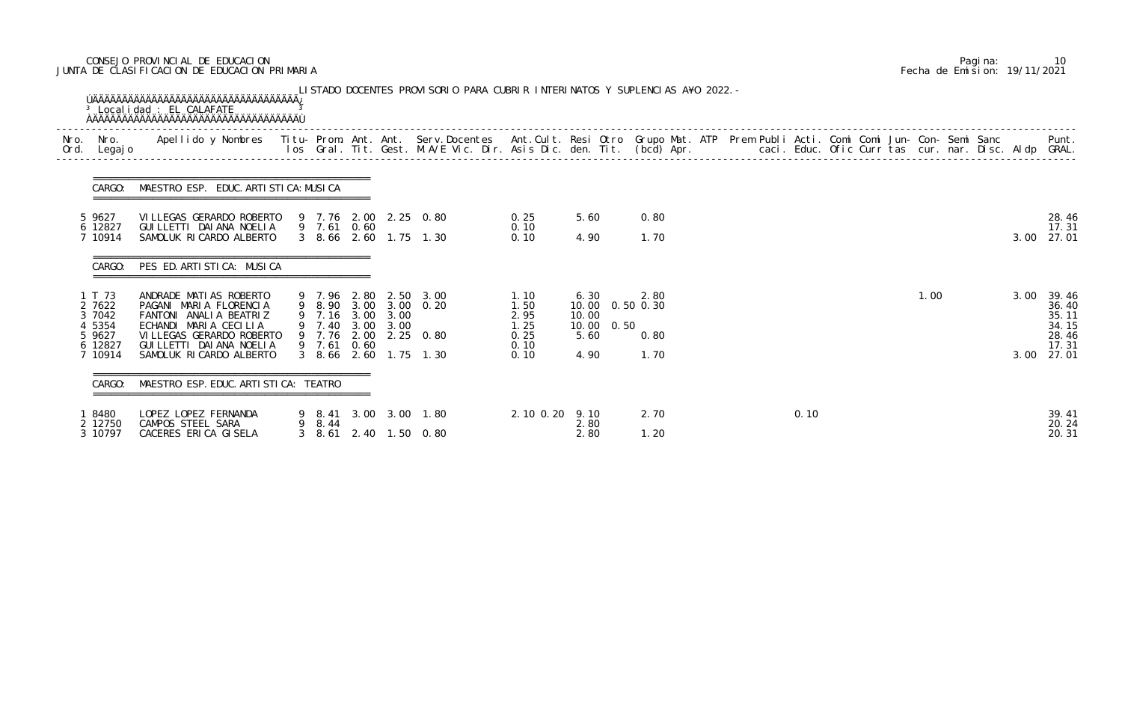# CONSEJO PROVINCIAL DE EDUCACION Pagina: 10 JUNTA DE CLASIFICACION DE EDUCACION PRIMARIA Fecha de Emision: 19/11/2021

| Nro. Nro.<br>Ord. Legajo | Apellido y Nombres - Titu- Prom. Ant. Ant. Serv.Docentes - Ant.Cult. Resi Otro Grupo Mat. ATP Prem Publi Acti. Comi Comi Jun- Con- Semi Sanc - - - Punt.<br>Ios Gral. Tit. Gest. M.A/E Vic. Dir. Asis Dic. den. Tit. (bcd) Apr. - |                       |  |                       |                |                           |      |  |      |  |      |      |                |
|--------------------------|-----------------------------------------------------------------------------------------------------------------------------------------------------------------------------------------------------------------------------------|-----------------------|--|-----------------------|----------------|---------------------------|------|--|------|--|------|------|----------------|
| CARGO:                   | MAESTRO ESP. EDUC. ARTI STI CA: MUSI CA                                                                                                                                                                                           |                       |  |                       |                |                           |      |  |      |  |      |      |                |
| 5 9627<br>6 12827        | VI LLEGAS GERARDO ROBERTO<br>GUI LLETTI DAI ANA NOELIA                                                                                                                                                                            | 9 7.61 0.60           |  | 9 7.76 2.00 2.25 0.80 | 0.25<br>0.10   | 5.60                      | 0.80 |  |      |  |      |      | 28.46<br>17.31 |
| 7 10914                  | SAMOLUK RICARDO ALBERTO                                                                                                                                                                                                           |                       |  | 3 8.66 2.60 1.75 1.30 | 0.10           | 4.90                      | 1.70 |  |      |  |      |      | 3.00 27.01     |
| CARGO:                   | PES ED. ARTISTICA: MUSICA                                                                                                                                                                                                         |                       |  |                       |                |                           |      |  |      |  |      |      |                |
| 1 T 73<br>2 7622         | ANDRADE MATIAS ROBERTO<br>PAGANI MARIA FLORENCIA                                                                                                                                                                                  | 9 7.96 2.80 2.50 3.00 |  | 9 8.90 3.00 3.00 0.20 | 1.10<br>1.50   | 6.30<br>10.00  0.50  0.30 | 2.80 |  |      |  | 1.00 | 3.00 | 39.46<br>36.40 |
| 3 7042                   | FANTONI ANALIA BEATRIZ                                                                                                                                                                                                            | 9 7.16 3.00 3.00      |  |                       | 2.95           | 10.00                     |      |  |      |  |      |      | 35.11          |
| 4 5354                   | ECHANDI MARIA CECILIA                                                                                                                                                                                                             | 9 7.40 3.00 3.00      |  |                       | 1.25           | 0.50<br>10.00             |      |  |      |  |      |      | 34.15          |
| 5 9627<br>6 12827        | VI LLEGAS GERARDO ROBERTO<br>GUI LLETTI DAI ANA NOELI A                                                                                                                                                                           | 9 7.61 0.60           |  | 9 7.76 2.00 2.25 0.80 | 0.25<br>0.10   | 5.60                      | 0.80 |  |      |  |      |      | 28.46<br>17.31 |
| 7 10914                  | SAMOLUK RICARDO ALBERTO                                                                                                                                                                                                           |                       |  | 3 8.66 2.60 1.75 1.30 | 0.10           | 4.90                      | 1.70 |  |      |  |      |      | 3.00 27.01     |
|                          | MAESTRO ESP. EDUC. ARTI STI CA: TEATRO                                                                                                                                                                                            |                       |  |                       |                |                           |      |  |      |  |      |      |                |
| 8480                     | LOPEZ LOPEZ FERNANDA                                                                                                                                                                                                              |                       |  | 9 8.41 3.00 3.00 1.80 | 2.10 0.20 9.10 | 2.80                      | 2.70 |  | 0.10 |  |      |      | 39.41<br>20.24 |
| 2 12750                  | CAMPOS STEEL SARA                                                                                                                                                                                                                 | 9 8.44                |  |                       |                |                           |      |  |      |  |      |      |                |

|  | Pagi na: | 10                           |
|--|----------|------------------------------|
|  |          | Fecha de Emision: 19/11/2021 |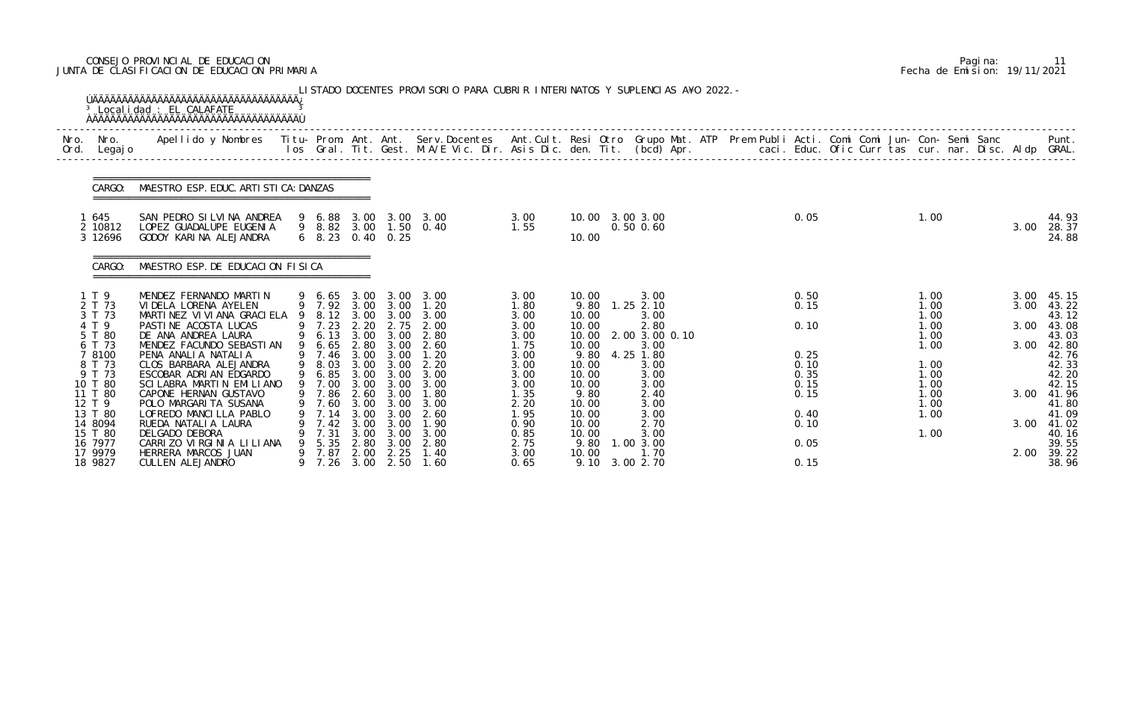# CONSEJO PROVINCIAL DE EDUCACION Pagina: 11 JUNTA DE CLASIFICACION DE EDUCACION PRIMARIA Fecha de Emision: 19/11/2021

|              |                                          | <sup>3</sup> Localidad : EL CALAFATE<br><b>OAAAAAAAAAAAAAAAAAAAAAAAAAAAAAAAAAA</b>                                                             |   |                                         |                              |                                          | LISTADO DOCENTES PROVISORIO PARA CUBRIR INTERINATOS Y SUPLENCIAS A¥O 2022. -                                             |                               |                                 |                                             |  |                      |  |                              |  |                      |                                       |
|--------------|------------------------------------------|------------------------------------------------------------------------------------------------------------------------------------------------|---|-----------------------------------------|------------------------------|------------------------------------------|--------------------------------------------------------------------------------------------------------------------------|-------------------------------|---------------------------------|---------------------------------------------|--|----------------------|--|------------------------------|--|----------------------|---------------------------------------|
| Nro.<br>Ord. | Nro.<br>Legaj o                          | Apellido y Nombres - Titu- Prom. Ant. Ant. Serv.Docentes - Ant.Cult. Resi Otro Grupo Mat. ATP - Prem Publi Acti. Comi Comi Jun- Con- Semi Sanc |   |                                         |                              |                                          | los Gral. Tit. Gest. M.A/E Vic. Dir. Asis Dic. den. Tit. (bcd) Apr. caci. Educ. Ofic Curr tas cur. nar. Disc. Aldp GRAL. |                               |                                 |                                             |  |                      |  |                              |  |                      | Punt.                                 |
|              | CARGO:                                   | MAESTRO ESP. EDUC. ARTI STI CA: DANZAS                                                                                                         |   |                                         |                              |                                          |                                                                                                                          |                               |                                 |                                             |  |                      |  |                              |  |                      |                                       |
|              | 645<br>2 10812<br>3 12696                | SAN PEDRO SILVINA ANDREA<br>LOPEZ GUADALUPE EUGENIA<br>GODOY KARINA ALEJANDRA                                                                  |   |                                         |                              | $6\quad 8.23\quad 0.40\quad 0.25$        | 9 6.88 3.00 3.00 3.00<br>9 8.82 3.00 1.50 0.40                                                                           | 3.00<br>1.55                  | 10.00                           | 10.00 3.00 3.00<br>$0.50$ $0.60$            |  | 0.05                 |  | 1.00                         |  | 3.00                 | 44.93<br>28.37<br>24.88               |
|              | CARGO:                                   | MAESTRO ESP. DE EDUCACION FISICA                                                                                                               |   |                                         |                              |                                          |                                                                                                                          |                               |                                 |                                             |  |                      |  |                              |  |                      |                                       |
|              | 1 T 9<br>2 T 73<br>3 T 73<br>4 T 9       | MENDEZ FERNANDO MARTIN<br>VIDELA LORENA AYELEN<br>MARTINEZ VIVIANA GRACIELA<br>PASTINE ACOSTA LUCAS                                            | 9 | 9 6.65 3.00<br>8.12<br>9 7.23           | 3.00<br>2.20                 | 9 7.92 3.00 3.00<br>3.00<br>2.75         | 3.00 3.00<br>1.20<br>3.00<br>2.00                                                                                        | 3.00<br>1.80<br>3.00<br>3.00  | 10.00<br>9.80<br>10.00<br>10.00 | 3.00<br>$1.25$ $2.10$<br>3.00<br>2.80       |  | 0.50<br>0.15<br>0.10 |  | 1.00<br>1.00<br>1.00<br>1.00 |  | 3.00<br>3.00<br>3.00 | 45.15<br>43.22<br>43.12<br>43.08      |
|              | 5 T 80<br>6 T 73<br>7 8100<br>8 T 73     | DE ANA ANDREA LAURA<br>MENDEZ FACUNDO SEBASTIAN<br>PENA ANALIA NATALIA<br>CLOS BARBARA ALEJANDRA                                               | 9 | 9 6.13<br>6.65<br>9 7.46 3.00<br>9 8.03 | 3.00<br>2.80<br>3.00         | 3.00<br>3.00<br>3.00<br>3.00             | 2.80<br>2.60<br>1.20<br>2.20                                                                                             | 3.00<br>1.75<br>3.00<br>3.00  | 10.00<br>10.00<br>9.80<br>10.00 | 2.00 3.00 0.10<br>3.00<br>4.25 1.80<br>3.00 |  | 0.25<br>0.10         |  | 1.00<br>1.00<br>1.00         |  | 3.00                 | 43.03<br>42.80<br>42.76<br>42.33      |
|              | 9 T 73<br>10 T 80<br>11 T 80<br>12 T 9   | ESCOBAR ADRIAN EDGARDO<br>SCILABRA MARTIN EMILIANO<br>CAPONE HERNAN GUSTAVO<br>POLO MARGARI TA SUSANA                                          |   | 9 6.85<br>9 7.86<br>7.60                | 3.00<br>2.60<br>3.00         | 3.00<br>9 7.00 3.00 3.00<br>3.00<br>3.00 | 3.00<br>3.00<br>1.80<br>3.00                                                                                             | 3.00<br>3.00<br>1.35<br>2.20  | 10.00<br>10.00<br>9.80<br>10.00 | 3.00<br>3.00<br>2.40<br>3.00                |  | 0.35<br>0.15<br>0.15 |  | 1.00<br>1.00<br>1.00<br>1.00 |  |                      | 42.20<br>42.15<br>3.00 41.96<br>41.80 |
|              | 13 T 80<br>14 8094<br>15 T 80<br>16 7977 | LOFREDO MANCILLA PABLO<br>RUEDA NATALIA LAURA<br>DELGADO DEBORA<br>CARRIZO VIRGINIA LILIANA                                                    |   | 7.14<br>7.42<br>7.31<br>5.35            | 3.00<br>3.00<br>3.00<br>2.80 | 3.00<br>3.00<br>3.00<br>3.00             | 2.60<br>1.90<br>3.00<br>2.80                                                                                             | 1. 95<br>0.90<br>0.85<br>2.75 | 10.00<br>10.00<br>10.00<br>9.80 | 3.00<br>2.70<br>3.00<br>1.00 3.00           |  | 0.40<br>0.10<br>0.05 |  | 1.00<br>1.00                 |  | 3.00                 | 41.09<br>41.02<br>40.16<br>39.55      |
|              | 17 9979<br>18 9827                       | HERRERA MARCOS JUAN<br>CULLEN ALEJANDRO                                                                                                        |   | 9 7.87<br>7. 26                         | 2.00<br>3.00                 | 2.25<br>2.50                             | 1.40<br>1.60                                                                                                             | 3.00<br>0.65                  | 10.00<br>9.10                   | 1.70<br>3.00 2.70                           |  | 0.15                 |  |                              |  | 2.00                 | 39.22<br>38.96                        |

|  | Pagi na: | 11                           |
|--|----------|------------------------------|
|  |          | Fecha de Emision: 19/11/2021 |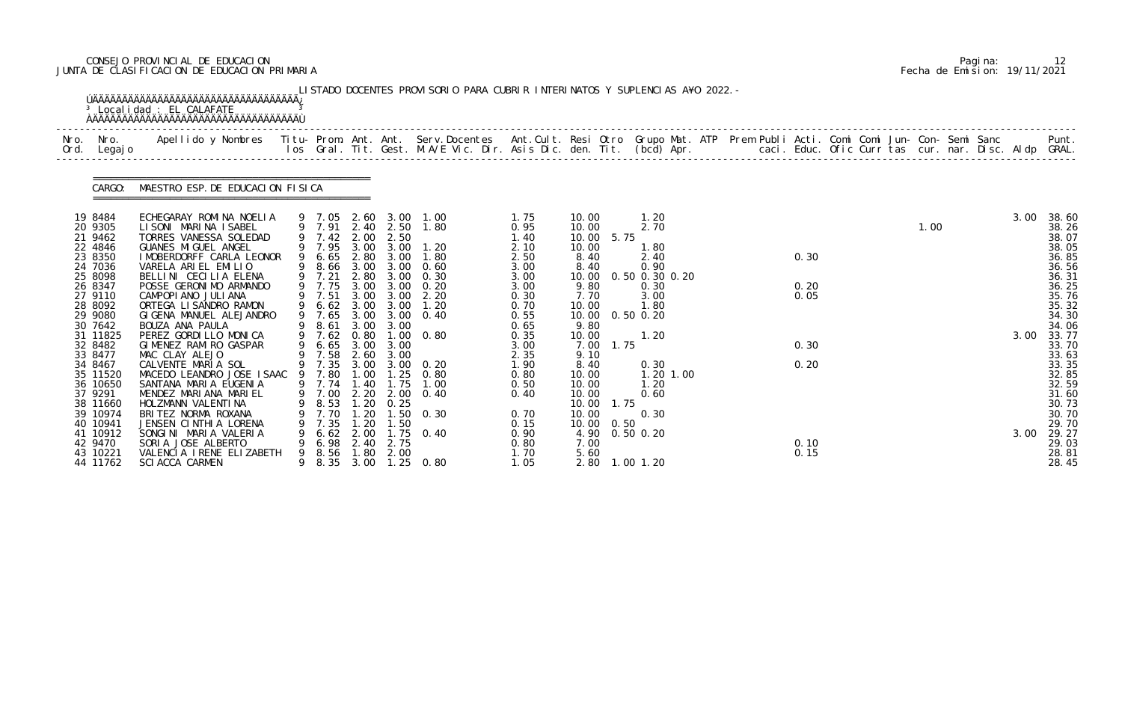# CONSEJO PROVINCIAL DE EDUCACION Pagina: 12 JUNTA DE CLASIFICACION DE EDUCACION PRIMARIA Fecha de Emision: 19/11/2021

|              |                                                                                                                       | <sup>3</sup> Localidad : EL CALAFATE                                                                                                                                                                                                                                                  |   |                                                                                  |                                                     |                                                                                            | LISTADO DOCENTES PROVISORIO PARA CUBRIR INTERINATOS Y SUPLENCIAS A¥O 2022. -                            |                                                                                      |                                                                                                     |                                                                                                 |  |                      |  |      |  |      |                                                                                                 |
|--------------|-----------------------------------------------------------------------------------------------------------------------|---------------------------------------------------------------------------------------------------------------------------------------------------------------------------------------------------------------------------------------------------------------------------------------|---|----------------------------------------------------------------------------------|-----------------------------------------------------|--------------------------------------------------------------------------------------------|---------------------------------------------------------------------------------------------------------|--------------------------------------------------------------------------------------|-----------------------------------------------------------------------------------------------------|-------------------------------------------------------------------------------------------------|--|----------------------|--|------|--|------|-------------------------------------------------------------------------------------------------|
| Nro.<br>Ord. | Nro.<br>Legaj o                                                                                                       | Apellido y Nombres  Titu- Prom. Ant. Ant. Serv.Docentes  Ant.Cult. Resi Otro Grupo Mat. ATP Prem Publi Acti. Comi Comi Jun- Con- Semi Sanc           Punt.<br>Ios Gral. Tit. Gest. M.A/E Vic. Dir. Asis Dic. den. Tit. (bcd) Apr.                                                     |   |                                                                                  |                                                     |                                                                                            |                                                                                                         |                                                                                      |                                                                                                     |                                                                                                 |  |                      |  |      |  |      |                                                                                                 |
|              | CARGO:                                                                                                                | MAESTRO ESP. DE EDUCACION FISICA                                                                                                                                                                                                                                                      |   |                                                                                  |                                                     |                                                                                            |                                                                                                         |                                                                                      |                                                                                                     |                                                                                                 |  |                      |  |      |  |      |                                                                                                 |
|              | 19 8484<br>20 9305<br>21 9462<br>22 4846<br>23 8350<br>24 7036<br>25 8098<br>26 8347<br>27 9110<br>28 8092<br>29 9080 | ECHEGARAY ROMINA NOELIA<br>LISONI MARINA ISABEL<br>TORRES VANESSA SOLEDAD<br>GUANES MI GUEL ANGEL<br>I MOBERDORFF CARLA LEONOR<br>VARELA ARIEL EMILIO<br>BELLINI CECILIA ELENA<br>POSSE GERONIMO ARMANDO<br>CAMPOPI ANO JULI ANA<br>ORTEGA LI SANDRO RAMON<br>GIGENA MANUEL ALEJANDRO |   | 9 7.42<br>9 7.95<br>6.65<br>8.66<br>9 7.21<br>9 7.75<br>9 7.51<br>6.62<br>9 7.65 | 2.00<br>3.00<br>3.00<br>2.80<br>3.00<br>3.00        | 9 7.91 2.40 2.50<br>2.50<br>3.00<br>2.80 3.00<br>3.00<br>3.00<br>3.00 3.00<br>3.00<br>3.00 | 9 7.05 2.60 3.00 1.00<br>1.80<br>1.20<br>1.80<br>0.60<br>0.30<br>0.20<br>2.20<br>1.20<br>3.00 3.00 0.40 | 1.75<br>0.95<br>1.40<br>2.10<br>2.50<br>3.00<br>3.00<br>3.00<br>0.30<br>0.70<br>0.55 | 10.00<br>10.00<br>10.00<br>5.75<br>10.00<br>8.40<br>8.40<br>10.00<br>9.80<br>7.70<br>10.00<br>10.00 | 1.20<br>2.70<br>1.80<br>2.40<br>0.90<br>0.50 0.30 0.20<br>0.30<br>3.00<br>1.80<br>$0.50$ $0.20$ |  | 0.30<br>0.20<br>0.05 |  | 1.00 |  | 3.00 | 38.60<br>38.26<br>38.07<br>38.05<br>36.85<br>36.56<br>36.31<br>36.25<br>35.76<br>35.32<br>34.30 |
|              | 30 7642<br>31 11825<br>32 8482<br>33 8477<br>34 8467<br>35 11520<br>36 10650<br>37 9291<br>38 11660<br>39 10974       | BOUZA ANA PAULA<br>PEREZ GORDILLO MONICA<br>GIMENEZ RAMIRO GASPAR<br>MAC CLAY ALEJO<br>CALVENTE MARIA SOL<br>MACEDO LEANDRO JOSE ISAAC 9 7.80<br>SANTANA MARIA EUGENIA<br>MENDEZ MARIANA MARIEL<br>HOLZMANN VALENTINA<br>BRITEZ NORMA ROXANA                                          | 9 | 8.61<br>9 7.62<br>6.65<br>9 7.58<br>9 7.35<br>9 7.74<br>9 7.00<br>8.53<br>7.70   | 3.00<br>0.80<br>2.60<br>1.40<br>2.20<br>1.20<br>.20 | 3.00<br>3.00 3.00<br>3.00<br>1.00 1.25<br>1.75<br>2.00<br>0.25                             | $1.00 \t 0.80$<br>3.00 3.00 0.20<br>0.80<br>1.00<br>0.40<br>$1.50 \quad 0.30$                           | 0.65<br>0.35<br>3.00<br>2.35<br>1.90<br>0.80<br>0.50<br>0.40<br>0.70                 | 9.80<br>10.00<br>1.75<br>7.00<br>9.10<br>8.40<br>10.00<br>10.00<br>10.00<br>1.75<br>10.00<br>10.00  | 1.20<br>0.30<br>1.20 1.00<br>1.20<br>0.60<br>0.30                                               |  | 0.30<br>0.20         |  |      |  | 3.00 | 34.06<br>33.77<br>33.70<br>33.63<br>33.35<br>32.85<br>32.59<br>31.60<br>30.73<br>30.70          |
|              | 40 10941<br>41 10912<br>42 9470<br>43 10221<br>44 11762                                                               | JENSEN CINTHIA LORENA<br>SONGINI MARIA VALERIA<br>SORIA JOSE ALBERTO<br>VALENCIA I RENE ELIZABETH<br><b>SCI ACCA CARMEN</b>                                                                                                                                                           |   | 7.35<br>6.62<br>6.98<br>8.56                                                     | 1.20<br>2.40<br>1.80                                | 1.50<br>2.75<br>2.00                                                                       | 2.00 1.75 0.40<br>8.35 3.00 1.25 0.80                                                                   | 0.15<br>0.90<br>0.80<br>1.70<br>1.05                                                 | 10.00<br>0.50<br>4.90<br>7.00<br>5.60<br>2.80 1.00 1.20                                             | 0.50 0.20                                                                                       |  | 0.10<br>0.15         |  |      |  | 3.00 | 29.70<br>29.27<br>29.03<br>28.81<br>28.45                                                       |

|  | Pagi na: |                              |
|--|----------|------------------------------|
|  |          | Fecha de Emision: 19/11/2021 |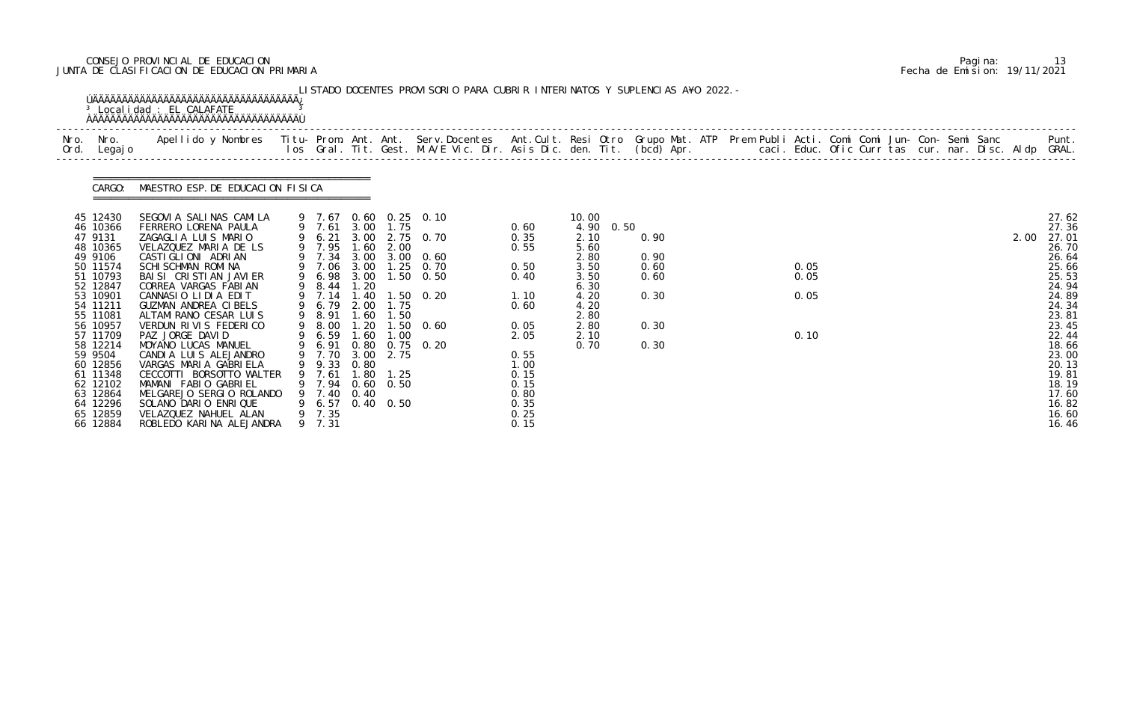# CONSEJO PROVINCIAL DE EDUCACION Pagina: 13 JUNTA DE CLASIFICACION DE EDUCACION PRIMARIA Fecha de Emision: 19/11/2021

| Ord. | Nro. Nro.<br>Legaj o                                                                                                                                                                                                                                              | Apellido y Nombres - Titu- Prom. Ant. Ant. Serv.Docentes - Ant.Cult. Resi Otro Grupo Mat. ATP Prem Publi Acti. Comi Comi Jun- Con- Semi Sanc - - Punt.<br>Ios Gral. Tit. Gest. M.A/E Vic. Dir. Asis Dic. den. Tit. (bcd) Apr. - -                                                                                                                                                                                                                                                                                                                                  |   |                                                                                                                                                                                                                                |                                                                                              |                                                            |                                                                                                                                                               |                                                                                                                                      |                                                                                                               |      |                                                      |  |                              |  |  |  |      |                                                                                                                                                                                                    |
|------|-------------------------------------------------------------------------------------------------------------------------------------------------------------------------------------------------------------------------------------------------------------------|--------------------------------------------------------------------------------------------------------------------------------------------------------------------------------------------------------------------------------------------------------------------------------------------------------------------------------------------------------------------------------------------------------------------------------------------------------------------------------------------------------------------------------------------------------------------|---|--------------------------------------------------------------------------------------------------------------------------------------------------------------------------------------------------------------------------------|----------------------------------------------------------------------------------------------|------------------------------------------------------------|---------------------------------------------------------------------------------------------------------------------------------------------------------------|--------------------------------------------------------------------------------------------------------------------------------------|---------------------------------------------------------------------------------------------------------------|------|------------------------------------------------------|--|------------------------------|--|--|--|------|----------------------------------------------------------------------------------------------------------------------------------------------------------------------------------------------------|
|      | CARGO:                                                                                                                                                                                                                                                            | MAESTRO ESP. DE EDUCACION FISICA                                                                                                                                                                                                                                                                                                                                                                                                                                                                                                                                   |   |                                                                                                                                                                                                                                |                                                                                              |                                                            |                                                                                                                                                               |                                                                                                                                      |                                                                                                               |      |                                                      |  |                              |  |  |  |      |                                                                                                                                                                                                    |
|      | 45 12430<br>46 10366<br>47 9131<br>48 10365<br>49 9106<br>50 11574<br>51 10793<br>52 12847<br>53 10901<br>54 11211<br>55 11081<br>56 10957<br>57 11709<br>58 12214<br>59 9504<br>60 12856<br>61 11348<br>62 12102<br>63 12864<br>64 12296<br>65 12859<br>66 12884 | SEGOVI A SALINAS CAMILA<br>FERRERO LORENA PAULA<br>ZAGAGLIA LUIS MARIO<br>VELAZQUEZ MARIA DE LS<br>CASTI GLI ONI ADRI AN<br><b>SCHI SCHMAN ROMI NA</b><br>BAI SI CRISTIAN JAVIER<br>CORREA VARGAS FABIAN<br>CANNASIO LIDIA EDIT<br>GUZMAN ANDREA CIBELS<br>ALTAMIRANO CESAR LUIS<br>VERDUN RIVIS FEDERICO<br>PAZ JORGE DAVID<br>MOYANO LUCAS MANUEL<br>CANDIA LUIS ALEJANDRO<br>VARGAS MARIA GABRIELA<br>CECCOTTI BORSOTTO WALTER<br>MAMANI FABIO GABRIEL<br>MELGAREJO SERGIO ROLANDO<br>SOLANO DARIO ENRIQUE<br>VELAZQUEZ NAHUEL ALAN<br>ROBLEDO KARINA ALEJANDRA | 9 | 9 7.61 3.00 1.75<br>9 7.95 1.60 2.00<br>9 7.34<br>9 7.06<br>6.98<br>9 8.44<br>9 7.14<br>6.79<br>9 8.91<br>9 8.00<br>9 6.59<br>9 6.91<br>9 7.70<br>9 9.33<br>9 7.61<br>9 7.94<br>9 7.40<br>9 6.57 0.40 0.50<br>9 7.35<br>9 7.31 | 3.00<br>3.00<br>1.20<br>1.40<br>2.00<br>1.60<br>1.20<br>1.60<br>0.80<br>0.80<br>1.80<br>0.40 | 1.75<br>1.50<br>1.00<br>3.00 2.75<br>1.25<br>$0.60$ $0.50$ | 9 7.67 0.60 0.25 0.10<br>9 6.21 3.00 2.75 0.70<br>3.00 3.00 0.60<br>$1.25 \quad 0.70$<br>$1.50 \t 0.50$<br>$1.50 \quad 0.20$<br>$1.50 \t 0.60$<br>$0.75$ 0.20 | 0.60<br>0.35<br>0.55<br>0.50<br>0.40<br>1.10<br>0.60<br>0.05<br>2.05<br>0.55<br>1.00<br>0.15<br>0.15<br>0.80<br>0.35<br>0.25<br>0.15 | 10.00<br>4.90<br>2.10<br>5.60<br>2.80<br>3.50<br>3.50<br>6.30<br>4.20<br>4.20<br>2.80<br>2.80<br>2.10<br>0.70 | 0.50 | 0.90<br>0.90<br>0.60<br>0.60<br>0.30<br>0.30<br>0.30 |  | 0.05<br>0.05<br>0.05<br>0.10 |  |  |  | 2.00 | 27.62<br>27.36<br>27.01<br>26.70<br>26.64<br>25.66<br>25.53<br>24.94<br>24.89<br>24.34<br>23.81<br>23.45<br>22.44<br>18.66<br>23.00<br>20.13<br>19.81<br>18.19<br>17.60<br>16.82<br>16.60<br>16.46 |

|  | Pagi na: | 13                           |
|--|----------|------------------------------|
|  |          | Fecha de Emision: 19/11/2021 |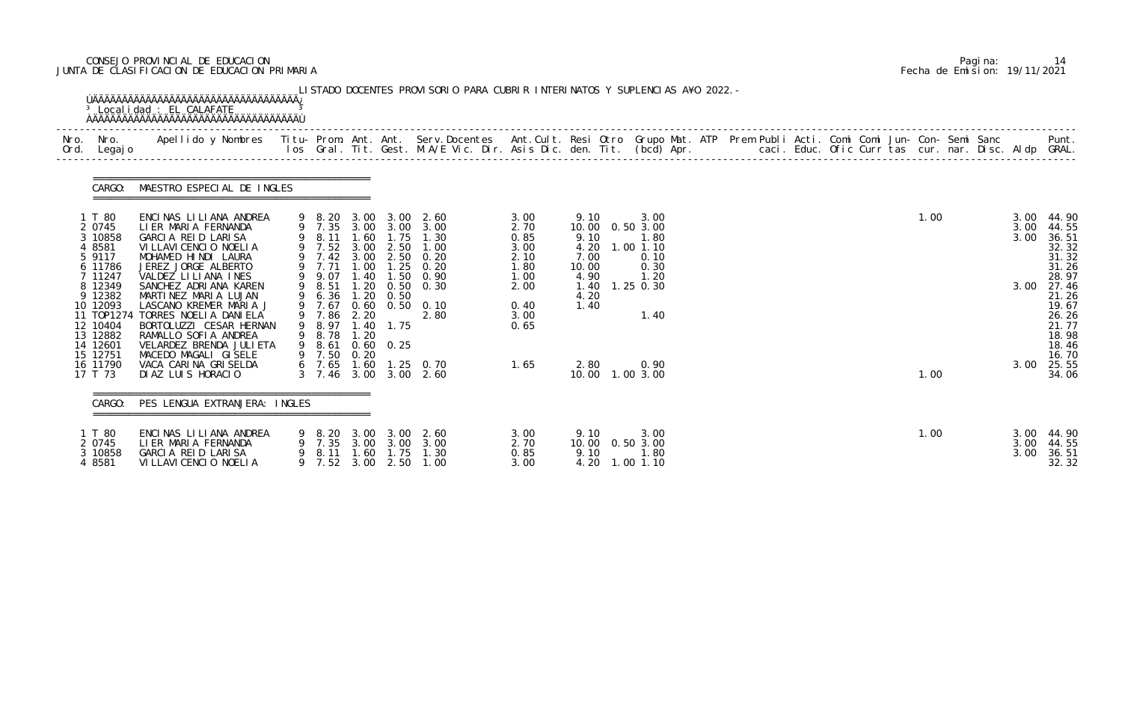# CONSEJO PROVINCIAL DE EDUCACION Pagina: 14 JUNTA DE CLASIFICACION DE EDUCACION PRIMARIA Fecha de Emision: 19/11/2021

| CARGO: MAESTRO ESPECIAL DE INGLES                                                                                                                                                                            |                                                                       |                                                                                      |                                                                              |                                                            |                                                                                                                                                                                                                                                                                              |      |                                                                       |                                                                                   |  |  |  |  |              |      |                                                                                                             |
|--------------------------------------------------------------------------------------------------------------------------------------------------------------------------------------------------------------|-----------------------------------------------------------------------|--------------------------------------------------------------------------------------|------------------------------------------------------------------------------|------------------------------------------------------------|----------------------------------------------------------------------------------------------------------------------------------------------------------------------------------------------------------------------------------------------------------------------------------------------|------|-----------------------------------------------------------------------|-----------------------------------------------------------------------------------|--|--|--|--|--------------|------|-------------------------------------------------------------------------------------------------------------|
| ENCINAS LILIANA ANDREA<br>LIER MARIA FERNANDA<br>3 10858<br>GARCIA REID LARISA<br>VI LLAVI CENCIO NOELIA<br>MOHAMED HINDI LAURA<br>6 11786<br>JEREZ JORGE ALBERTO                                            |                                                                       |                                                                                      |                                                                              |                                                            | 3.00<br>2.70<br>0.85<br>3.00<br>2.10<br>1.80                                                                                                                                                                                                                                                 |      | 3.00<br>1.80<br>0.10<br>0.30                                          |                                                                                   |  |  |  |  |              | 3.00 | 44.90<br>44.55<br>36.51<br>32.32<br>31.32<br>31.26                                                          |
| 8 12349<br>SANCHEZ ADRIANA KAREN<br>9 12382<br>MARTINEZ MARIA LUJAN<br>10 12093<br>LASCANO KREMER MARIA J<br>11 T0P1274<br>TORRES NOELIA DANIELA<br>12 10404<br>13 12882<br>RAMALLO SOFIA ANDREA<br>14 12601 |                                                                       |                                                                                      |                                                                              | 2.80                                                       | 2.00<br>0.40<br>3.00<br>0.65                                                                                                                                                                                                                                                                 |      | 1.40                                                                  |                                                                                   |  |  |  |  |              |      | 28.97<br>27.46<br>21.26<br>19.67<br>26.26<br>21.77<br>18.98<br>18.46                                        |
| 16 11790<br>VACA CARINA GRISELDA<br>DIAZ LUIS HORACIO                                                                                                                                                        |                                                                       |                                                                                      |                                                                              |                                                            | 1.65                                                                                                                                                                                                                                                                                         |      | 0.90                                                                  |                                                                                   |  |  |  |  |              |      | 16.70<br>25.55<br>34.06                                                                                     |
| CARGO:                                                                                                                                                                                                       |                                                                       |                                                                                      |                                                                              |                                                            |                                                                                                                                                                                                                                                                                              |      |                                                                       |                                                                                   |  |  |  |  |              |      |                                                                                                             |
| 7 11247<br>15 12751                                                                                                                                                                                          | VALDEZ LILIANA INES<br>MACEDO MAGALI GISELE<br>ENCINAS LILIANA ANDREA | BORTOLUZZI CESAR HERNAN<br>VELARDEZ BRENDA JULI ETA<br>PES LENGUA EXTRANJERA: INGLES | 9 7.71<br>9 9.07<br>9 8.51<br>9 6.36<br>9 7.67<br>9 7.86<br>9 8.78<br>9 8.61 | 9 7.52 3.00<br>1.00<br>1.20<br>2.20<br>1.20<br>9 7.50 0.20 | 9 8.20 3.00 3.00 2.60<br>9 7.35 3.00 3.00 3.00<br>9 8.11 1.60 1.75 1.30<br>2.50 1.00<br>9 7.42 3.00 2.50 0.20<br>$1.25 \quad 0.20$<br>1.40 1.50 0.90<br>1.20 0.50 0.30<br>0. 50<br>0.60 0.50 0.10<br>9 8.97 1.40 1.75<br>$0.60 \quad 0.25$<br>6 7.65 1.60 1.25 0.70<br>3 7.46 3.00 3.00 2.60 | 1.00 | 9.10<br>9.10<br>4.20<br>7.00<br>10.00<br>4.90<br>4.20<br>1.40<br>2.80 | 10.00  0.50  3.00<br>$1.00$ $1.10$<br>1.20<br>1.40 1.25 0.30<br>10.00  1.00  3.00 |  |  |  |  | 1.00<br>1.00 |      | 3.00<br>3.00<br>3.00<br>3.00<br>1.00<br>3.00<br>3.00<br>3.00 44.90<br>9.10<br>9 8.20 3.00<br>3.00<br>- 2.60 |

|  | Pagi na: | 14                           |
|--|----------|------------------------------|
|  |          | Fecha de Emision: 19/11/2021 |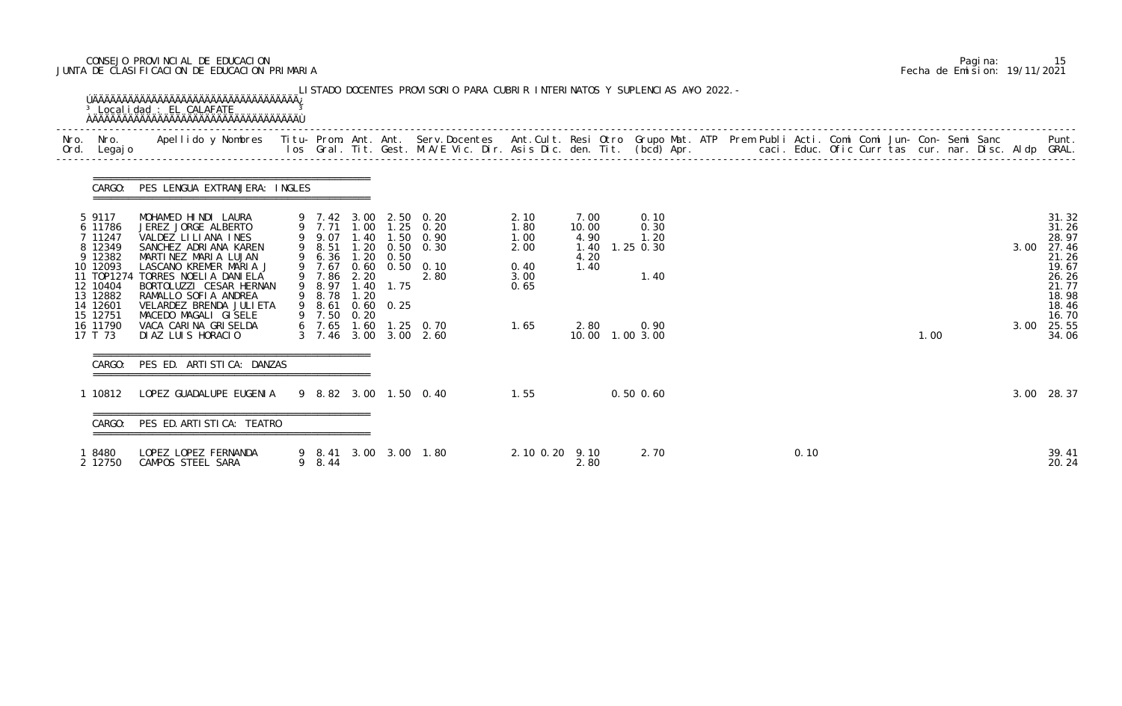# CONSEJO PROVINCIAL DE EDUCACION Pagina: 15 JUNTA DE CLASIFICACION DE EDUCACION PRIMARIA Fecha de Emision: 19/11/2021

| Legaj o                                                    |                                                                                                                                |                                           |              |                           |                                                                                           |                              |                                       |                                     |  |      |  |      |  |      |                                           |
|------------------------------------------------------------|--------------------------------------------------------------------------------------------------------------------------------|-------------------------------------------|--------------|---------------------------|-------------------------------------------------------------------------------------------|------------------------------|---------------------------------------|-------------------------------------|--|------|--|------|--|------|-------------------------------------------|
| CARGO:                                                     | PES LENGUA EXTRANJERA: INGLES                                                                                                  |                                           |              |                           |                                                                                           |                              |                                       |                                     |  |      |  |      |  |      |                                           |
| 5 9117<br>6 11786<br>7 11247<br>8 12349<br>9 12382         | MOHAMED HINDI LAURA<br>JEREZ JORGE ALBERTO<br>VALDEZ LILIANA INES<br>SANCHEZ ADRIANA KAREN<br>MARTINEZ MARIA LUJAN             | 9 8.51<br>9 6.36                          | 1.20         | 0.50                      | 9 7.42 3.00 2.50 0.20<br>9 7.71 1.00 1.25 0.20<br>9 9.07 1.40 1.50 0.90<br>1.20 0.50 0.30 | 2.10<br>1.80<br>1.00<br>2.00 | 7.00<br>10.00<br>4.90<br>1.40<br>4.20 | 0.10<br>0.30<br>1.20<br>$1.25$ 0.30 |  |      |  |      |  | 3.00 | 31.32<br>31.26<br>28.97<br>27.46<br>21.26 |
| 10 12093<br>11 T0P1274<br>12 10404<br>13 12882<br>14 12601 | LASCANO KREMER MARIA J<br>TORRES NOELIA DANIELA<br>BORTOLUZZI CESAR HERNAN<br>RAMALLO SOFIA ANDREA<br>VELARDEZ BRENDA JULI ETA | 9 7.86<br>9 8.97<br>9 8.78 1.20<br>9 8.61 | 2.20<br>1.40 | 1.75<br>$0.60 \quad 0.25$ | 9 7.67 0.60 0.50 0.10<br>2.80                                                             | 0.40<br>3.00<br>0.65         | 1.40                                  | 1.40                                |  |      |  |      |  |      | 19.67<br>26.26<br>21.77<br>18.98<br>18.46 |
| 15 12751<br>16 11790<br>17 T 73                            | MACEDO MAGALI GISELE<br>VACA CARINA GRISELDA<br>DIAZ LUIS HORACIO                                                              | 9 7.50                                    | 0.20         |                           | 6 7.65 1.60 1.25 0.70<br>3 7.46 3.00 3.00 2.60                                            | 1.65                         | 2.80<br>10.00  1.00  3.00             | 0.90                                |  |      |  | 1.00 |  | 3.00 | 16.70<br>25.55<br>34.06                   |
| CARGO:                                                     | PES ED. ARTISTICA: DANZAS                                                                                                      |                                           |              |                           |                                                                                           |                              |                                       |                                     |  |      |  |      |  |      |                                           |
|                                                            | 1 10812    LOPEZ GUADALUPE    EUGENIA    9    8.82    3.00    1.50    0.40                                                     |                                           |              |                           | 1.55                                                                                      |                              |                                       | $0.50$ $0.60$                       |  |      |  |      |  |      | 3.00 28.37                                |
| CARGO:                                                     | PES ED. ARTI STI CA: TEATRO                                                                                                    |                                           |              |                           |                                                                                           |                              |                                       |                                     |  |      |  |      |  |      |                                           |
| 18480<br>2 12750                                           | LOPEZ LOPEZ FERNANDA<br>CAMPOS STEEL SARA                                                                                      | 9 8.44                                    |              |                           | 9 8.41 3.00 3.00 1.80                                                                     | 2.10 0.20 9.10               | 2.80                                  | 2.70                                |  | 0.10 |  |      |  |      | 39.41<br>20.24                            |

|  | Pagi na: |                              |
|--|----------|------------------------------|
|  |          | Fecha de Emision: 19/11/2021 |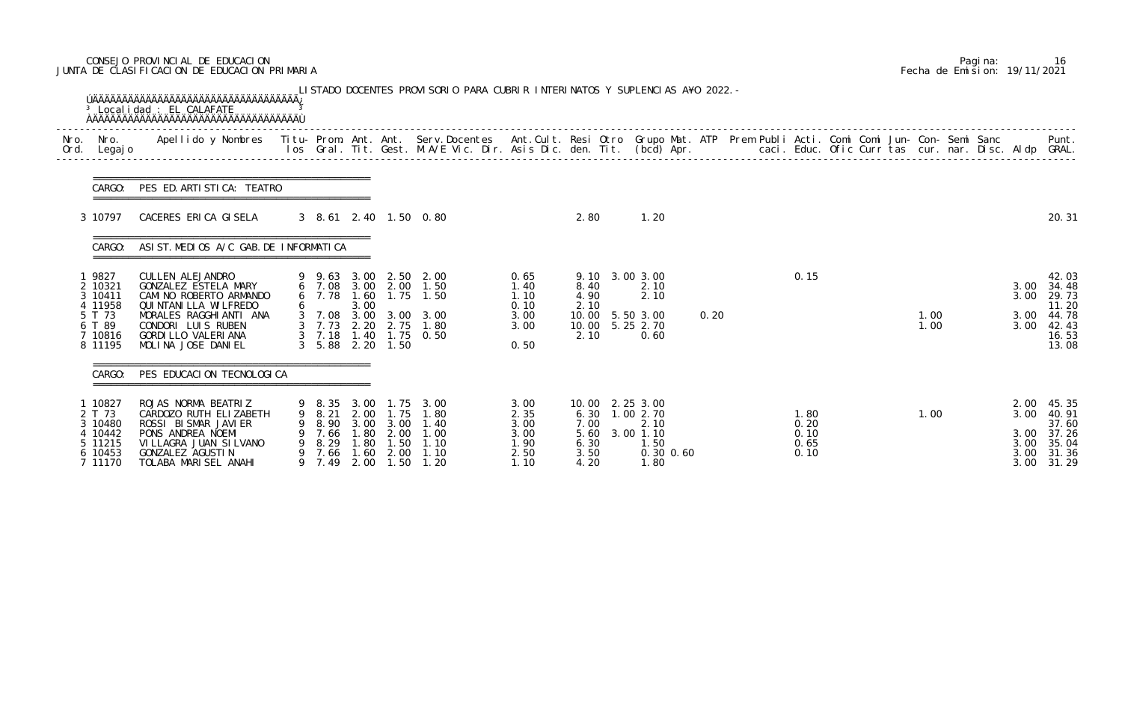# CONSEJO PROVINCIAL DE EDUCACION Pagina: 16 JUNTA DE CLASIFICACION DE EDUCACION PRIMARIA Fecha de Emision: 19/11/2021

|              |                                                                                 | <sup>3</sup> Localidad : EL CALAFATE                                                                                                                                                                                              |                                                        |                                                     |                                                                   | LISTADO DOCENTES PROVISORIO PARA CUBRIR INTERINATOS Y SUPLENCIAS A¥O 2022. -                                                   |                                                      |                                              |                                                                                    |      |                                      |  |              |  |                              |                                                                             |
|--------------|---------------------------------------------------------------------------------|-----------------------------------------------------------------------------------------------------------------------------------------------------------------------------------------------------------------------------------|--------------------------------------------------------|-----------------------------------------------------|-------------------------------------------------------------------|--------------------------------------------------------------------------------------------------------------------------------|------------------------------------------------------|----------------------------------------------|------------------------------------------------------------------------------------|------|--------------------------------------|--|--------------|--|------------------------------|-----------------------------------------------------------------------------|
| Nro.<br>Ord. | Nro.<br>Legaj o                                                                 | Apellido y Nombres - Titu- Prom. Ant. Ant. Serv.Docentes - Ant.Cult. Resi Otro Grupo Mat. ATP Prem Publi Acti. Comi Comi Jun- Con- Semi Sanc - - - - Punt.<br>Ios Gral. Tit. Gest. M.A/E Vic. Dir. Asis Dic. den. Tit. (bcd) Apr. |                                                        |                                                     |                                                                   |                                                                                                                                |                                                      |                                              |                                                                                    |      |                                      |  |              |  |                              |                                                                             |
|              | CARGO:                                                                          | PES ED. ARTI STI CA: TEATRO                                                                                                                                                                                                       |                                                        |                                                     |                                                                   |                                                                                                                                |                                                      |                                              |                                                                                    |      |                                      |  |              |  |                              |                                                                             |
|              | 3 10797                                                                         | CACERES ERICA GISELA                                                                                                                                                                                                              |                                                        |                                                     |                                                                   | 3 8.61 2.40 1.50 0.80                                                                                                          |                                                      | 2.80                                         | 1.20                                                                               |      |                                      |  |              |  |                              | 20.31                                                                       |
|              | CARGO:                                                                          | ASI ST. MEDIOS A/C GAB. DE INFORMATICA                                                                                                                                                                                            |                                                        |                                                     |                                                                   |                                                                                                                                |                                                      |                                              |                                                                                    |      |                                      |  |              |  |                              |                                                                             |
|              | 9827<br>2 10321<br>3 10411<br>4 11958<br>5 T 73<br>6 T 89<br>7 10816<br>8 11195 | CULLEN ALEJANDRO<br>GONZALEZ ESTELA MARY<br>CAMINO ROBERTO ARMANDO<br>QUI NTANI LLA WI LFREDO<br>MORALES RAGGHIANTI ANA<br>CONDORI LUIS RUBEN<br>GORDI LLO VALERI ANA<br>MOLINA JOSE DANIEL                                       | 6 7.78<br>$3 \quad 7.73$<br>$3\quad 5.88$              | 1.60<br>3.00<br>2.20                                | 2.20 1.50                                                         | 9 9.63 3.00 2.50 2.00<br>6 7.08 3.00 2.00 1.50<br>$1.75$ $1.50$<br>3 7.08 3.00 3.00 3.00<br>2.75 1.80<br>3 7.18 1.40 1.75 0.50 | 0.65<br>1.40<br>1.10<br>0.10<br>3.00<br>3.00<br>0.50 | 8.40<br>4.90<br>2.10<br>2.10                 | 9.10 3.00 3.00<br>2.10<br>2.10<br>10.00 5.50 3.00<br>10.00 5.25 2.70<br>0.60       | 0.20 | 0.15                                 |  | 1.00<br>1.00 |  | 3.00<br>3.00<br>3.00<br>3.00 | 42.03<br>34.48<br>29.73<br>11.20<br>44.78<br>42.43<br>16.53<br>13.08        |
|              | CARGO:                                                                          | PES EDUCACION TECNOLOGICA                                                                                                                                                                                                         |                                                        |                                                     |                                                                   |                                                                                                                                |                                                      |                                              |                                                                                    |      |                                      |  |              |  |                              |                                                                             |
|              | 10827<br>2 T 73<br>3 10480<br>4 10442<br>5 11215<br>6 10453<br>7 11170          | ROJAS NORMA BEATRIZ<br>CARDOZO RUTH ELIZABETH<br>ROSSI BISMAR JAVIER<br>PONS ANDREA NOEMI<br>VI LLAGRA JUAN SI LVANO<br>GONZALEZ AGUSTIN<br>TOLABA MARISEL ANAHI                                                                  | 8.35<br>8.21<br>8.90<br>7.66<br>8.29<br>7.66<br>9 7.49 | 3.00<br>2.00<br>3.00<br>. 80<br>. 80<br>.60<br>2.00 | 1.75<br>l. 75<br>3.00<br>2.00<br>$\overline{.50}$<br>2.00<br>1.50 | 3.00<br>1. 80<br>1. 40<br>1.00<br>1.10<br>1.10<br>1.20                                                                         | 3.00<br>2.35<br>3.00<br>3.00<br>1.90<br>2.50<br>1.10 | 6.30<br>7.00<br>5.60<br>6.30<br>3.50<br>4.20 | 10.00 2.25 3.00<br>1.00 2.70<br>2.10<br>3.00 1.10<br>1.50<br>$0.30$ $0.60$<br>1.80 |      | 1.80<br>0.20<br>0.10<br>0.65<br>0.10 |  | 1.00         |  | 3.00<br>3.00<br>3.00         | 2.00 45.35<br>40. 91<br>37.60<br>3.00 37.26<br>3.00 35.04<br>31.36<br>31.29 |

|  | Pagi na: | 16                           |
|--|----------|------------------------------|
|  |          | Fecha de Emision: 19/11/2021 |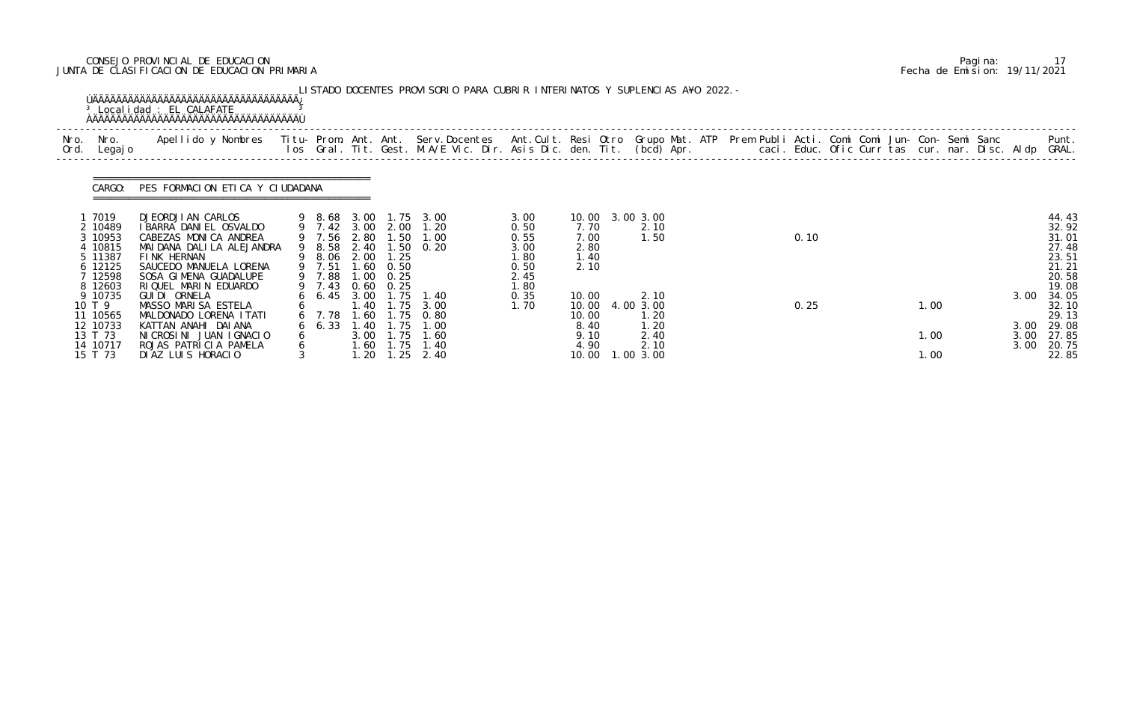# CONSEJO PROVINCIAL DE EDUCACION Pagina: 17 JUNTA DE CLASIFICACION DE EDUCACION PRIMARIA Fecha de Emision: 19/11/2021

|              |                                                                                   | <sup>3</sup> Localidad : EL CALAFATE                                                                                                                                                           |               |                                                               |                              |                                       | LISTADO DOCENTES PROVISORIO PARA CUBRIR INTERINATOS Y SUPLENCIAS A¥O 2022. -                                                    |                                                              |                                                         |                                                   |  |      |  |              |  |                              |                                                                      |
|--------------|-----------------------------------------------------------------------------------|------------------------------------------------------------------------------------------------------------------------------------------------------------------------------------------------|---------------|---------------------------------------------------------------|------------------------------|---------------------------------------|---------------------------------------------------------------------------------------------------------------------------------|--------------------------------------------------------------|---------------------------------------------------------|---------------------------------------------------|--|------|--|--------------|--|------------------------------|----------------------------------------------------------------------|
| Nro.<br>Ord. | Nro.<br>Legaj o                                                                   | Apellido y Nombres Titu- Prom. Ant. Ant. Serv.Docentes Ant.Cult. Resi Otro Grupo Mat. ATP Prem Publi Acti. Comi Comi Jun- Con- Semi Sanc                                                       |               |                                                               |                              |                                       | los Gral. Tit. Gest. M.A/E Vic. Dir. Asis Dic. den. Tit. (bcd) Apr.        caci. Educ. Ofic Curr tas cur. nar. Disc. Aldp GRAL. |                                                              |                                                         |                                                   |  |      |  |              |  |                              | Punt.                                                                |
|              | CARGO:                                                                            | PES FORMACION ETICA Y CIUDADANA                                                                                                                                                                |               |                                                               |                              |                                       |                                                                                                                                 |                                                              |                                                         |                                                   |  |      |  |              |  |                              |                                                                      |
|              | 1 7019<br>2 10489<br>3 10953<br>10815<br>5 11387<br>6 12125<br>7 12598<br>8 12603 | DJEORDJI AN CARLOS<br>I BARRA DANI EL OSVALDO<br>CABEZAS MONICA ANDREA<br>MAI DANA DALI LA ALEJANDRA<br>FINK HERNAN<br>SAUCEDO MANUELA LORENA<br>SOSA GIMENA GUADALUPE<br>RIQUEL MARIN EDUARDO |               | 9 8.68 3.00<br>9 8.58<br>9 8.06<br>9 7.51<br>9 7.88<br>9 7.43 | 2.40<br>2.00<br>1.60<br>1.00 | 1.25<br>0.50<br>0.25<br>$0.60$ $0.25$ | 1.75 3.00<br>9 7.42 3.00 2.00 1.20<br>9 7.56 2.80 1.50 1.00<br>$1.50 \t 0.20$                                                   | 3.00<br>0.50<br>0.55<br>3.00<br>1.80<br>0.50<br>2.45<br>1.80 | 10.00 3.00 3.00<br>7.70<br>7.00<br>2.80<br>1.40<br>2.10 | 2.10<br>1.50                                      |  | 0.10 |  |              |  |                              | 44.43<br>32.92<br>31.01<br>27.48<br>23.51<br>21.21<br>20.58<br>19.08 |
|              | 9 10735<br>10 T 9<br>11 10565<br>12 10733<br>13 T 73<br>14 10717                  | GUI DI ORNELA<br>MASSO MARISA ESTELA<br>MALDONADO LORENA I TATI<br>KATTAN ANAHI DAIANA<br>NICROSINI JUAN IGNACIO<br>ROJAS PATRICIA PAMELA                                                      | 6             | $6\quad 6.45$<br>$6\quad 6.33$                                | 3.00<br>1.40<br>1.40<br>3.00 | 1.75                                  | 1.75 1.40<br>1.75 3.00<br>6 7.78 1.60 1.75 0.80<br>1.00<br>1.75 1.60<br>1.60 1.75 1.40                                          | 0.35<br>1.70                                                 | 10.00<br>10.00<br>10.00<br>8.40<br>9.10<br>4.90         | 2.10<br>4.00 3.00<br>1.20<br>1.20<br>2.40<br>2.10 |  | 0.25 |  | 1.00<br>1.00 |  | 3.00<br>3.00<br>3.00<br>3.00 | 34.05<br>32.10<br>29.13<br>29.08<br>27.85<br>20.75                   |
|              | 15 T 73                                                                           | DIAZ LUIS HORACIO                                                                                                                                                                              | $\mathcal{S}$ |                                                               | 1.20                         | 1.25                                  | 2.40                                                                                                                            |                                                              | 10.00                                                   | 1.00 3.00                                         |  |      |  | 1.00         |  |                              | 22.85                                                                |

|  | Pagi na: |                              |
|--|----------|------------------------------|
|  |          | Fecha de Emision: 19/11/2021 |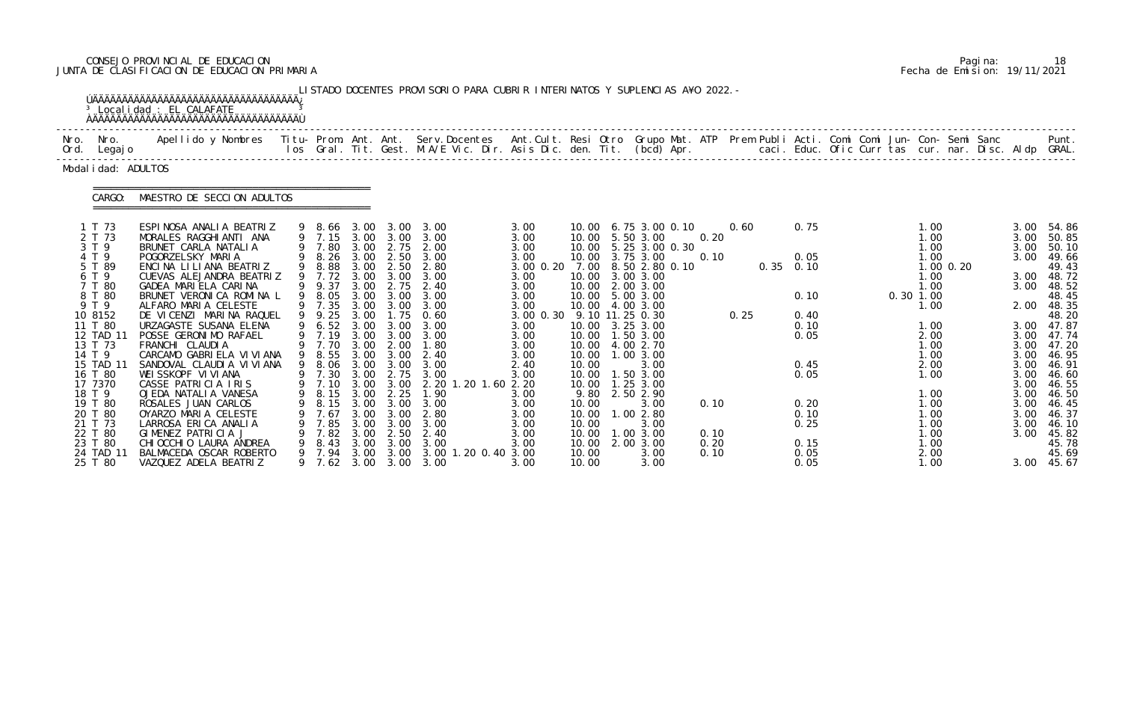# CONSEJO PROVINCIAL DE EDUCACION Pagina: 18 JUNTA DE CLASIFICACION DE EDUCACION PRIMARIA Fecha de Emision: 19/11/2021

|                                                                                                                                                                                         | <sup>3</sup> Localidad : EL CALAFATE<br><b>AAAAAAAAAAAAAAAAAAAAAAAAAAAAAAAAAAAA</b>                                                                                                                                                                                                                                                                                                                                                                               |   |                                                                    |                                                      |                                                      | LISTADO DOCENTES PROVISORIO PARA CUBRIR INTERINATOS Y SUPLENCIAS A¥O 2022. -                                                                                                                                                                                                                                                                                                         |                                                                                                                                                                    |                                                             |                                                                                                                                                                                                                                                                                                                                       |                              |              |                                                                               |  |                                                                                                                             |             |                                                              |                                                                                                                                                                                                     |
|-----------------------------------------------------------------------------------------------------------------------------------------------------------------------------------------|-------------------------------------------------------------------------------------------------------------------------------------------------------------------------------------------------------------------------------------------------------------------------------------------------------------------------------------------------------------------------------------------------------------------------------------------------------------------|---|--------------------------------------------------------------------|------------------------------------------------------|------------------------------------------------------|--------------------------------------------------------------------------------------------------------------------------------------------------------------------------------------------------------------------------------------------------------------------------------------------------------------------------------------------------------------------------------------|--------------------------------------------------------------------------------------------------------------------------------------------------------------------|-------------------------------------------------------------|---------------------------------------------------------------------------------------------------------------------------------------------------------------------------------------------------------------------------------------------------------------------------------------------------------------------------------------|------------------------------|--------------|-------------------------------------------------------------------------------|--|-----------------------------------------------------------------------------------------------------------------------------|-------------|--------------------------------------------------------------|-----------------------------------------------------------------------------------------------------------------------------------------------------------------------------------------------------|
| Nro. Nro.<br>Ord. Legajo                                                                                                                                                                |                                                                                                                                                                                                                                                                                                                                                                                                                                                                   |   |                                                                    |                                                      |                                                      |                                                                                                                                                                                                                                                                                                                                                                                      |                                                                                                                                                                    |                                                             |                                                                                                                                                                                                                                                                                                                                       |                              |              |                                                                               |  |                                                                                                                             |             |                                                              |                                                                                                                                                                                                     |
| Modal i dad: ADULTOS                                                                                                                                                                    |                                                                                                                                                                                                                                                                                                                                                                                                                                                                   |   |                                                                    |                                                      |                                                      |                                                                                                                                                                                                                                                                                                                                                                                      |                                                                                                                                                                    |                                                             |                                                                                                                                                                                                                                                                                                                                       |                              |              |                                                                               |  |                                                                                                                             |             |                                                              |                                                                                                                                                                                                     |
| CARGO:                                                                                                                                                                                  | MAESTRO DE SECCION ADULTOS                                                                                                                                                                                                                                                                                                                                                                                                                                        |   |                                                                    |                                                      |                                                      |                                                                                                                                                                                                                                                                                                                                                                                      |                                                                                                                                                                    |                                                             |                                                                                                                                                                                                                                                                                                                                       |                              |              |                                                                               |  |                                                                                                                             |             |                                                              |                                                                                                                                                                                                     |
| 1 T 73<br>2 T 73<br>3 T 9<br>4 T 9<br>5 T 89<br>6 T 9<br>7 T 80<br>8 T 80<br>9 T 9<br>10 8152<br>11 T 80<br>12 TAD 11<br>13 T 73<br>14 T 9<br>15 TAD 11<br>16 T 80<br>17 7370<br>18 T 9 | ESPINOSA ANALIA BEATRIZ<br>MORALES RAGGHIANTI ANA<br>BRUNET CARLA NATALIA<br>POGORZELSKY MARIA<br>ENCINA LILIANA BEATRIZ<br>CUEVAS ALEJANDRA BEATRIZ<br>GADEA MARIELA CARINA<br>BRUNET VERONICA ROMINA L<br>ALFARO MARIA CELESTE<br>DE VICENZI MARINA RAQUEL<br>URZAGASTE SUSANA ELENA<br>POSSE GERONIMO RAFAEL<br>FRANCHI CLAUDIA<br>CARCAMO GABRIELA VIVIANA<br>SANDOVAL CLAUDI A VI VI ANA<br>WEISSKOPF VIVIANA<br>CASSE PATRICIA IRIS<br>OJEDA NATALIA VANESA |   | 9 7.80<br>9 7.72<br>9 9.37<br>9 7.35<br>9 9.25<br>9 7.19<br>9 7.70 | 3.00<br>3.00<br>3.00<br>3.00                         | 3.00 3.00<br>2.75<br>3.00<br>2.00                    | 9 8.66 3.00 3.00 3.00<br>9 7.15 3.00 3.00 3.00<br>3.00 2.75 2.00<br>9 8.26 3.00 2.50 3.00<br>9 8.88 3.00 2.50 2.80<br>3.00<br>2.40<br>9 8.05 3.00 3.00 3.00<br>3.00 3.00 3.00<br>$1.75 \t 0.60$<br>9 6.52 3.00 3.00 3.00<br>3.00<br>1.80<br>9 8.55 3.00 3.00 2.40<br>9 8.06 3.00 3.00 3.00<br>9 7.30 3.00 2.75 3.00<br>9 7.10 3.00 3.00 2.20 1.20 1.60 2.20<br>9 8.15 3.00 2.25 1.90 | 3.00<br>3.00<br>3.00<br>3.00<br>3.00 0.20 7.00 8.50 2.80 0.10<br>3.00<br>3.00<br>3.00<br>3.00<br>3.00 0.30<br>3.00<br>3.00<br>3.00<br>3.00<br>2.40<br>3.00<br>3.00 | 10.00                                                       | 10.00 6.75 3.00 0.10<br>10.00 5.50 3.00<br>10.00 5.25 3.00 0.30<br>10.00 3.75 3.00<br>10.00 3.00 3.00<br>10.00 2.00 3.00<br>10.00 5.00 3.00<br>10.00 4.00 3.00<br>9.10 11.25 0.30<br>10.00 3.25 3.00<br>10.00  1.50  3.00<br>10.00 4.00 2.70<br>10.00  1.00  3.00<br>3.00<br>10.00  1.50  3.00<br>10.00  1.25  3.00<br>9.80 2.50 2.90 | 0.20<br>0.10                 | 0.60<br>0.25 | 0.75<br>0.05<br>$0.35$ $0.10$<br>0.10<br>0.40<br>0.10<br>0.05<br>0.45<br>0.05 |  | 1.00<br>1.00<br>1.00<br>1.00<br>1.00<br>1.00<br>$0.30$ 1.00<br>1.00<br>1.00<br>2.00<br>1.00<br>1.00<br>2.00<br>1.00<br>1.00 | $1.00$ 0.20 | 3.00<br>3.00<br>3.00<br>3.00<br>3.00<br>3.00<br>3.00<br>3.00 | 3.00 54.86<br>50.85<br>50.10<br>49.66<br>49.43<br>3.00 48.72<br>3.00 48.52<br>48.45<br>2.00 48.35<br>48.20<br>3.00 47.87<br>3.00 47.74<br>47.20<br>46. 95<br>46. 91<br>46.60<br>46.55<br>3.00 46.50 |
| 19 T 80<br>20 T 80<br>21 T 73<br>22 T 80<br>23 T 80<br>24 TAD 11<br>25 T 80                                                                                                             | ROSALES JUAN CARLOS<br>OYARZO MARIA CELESTE<br>LARROSA ERICA ANALIA<br>GIMENEZ PATRICIA J<br>CHI OCCHI O LAURA ANDREA<br>BALMACEDA OSCAR ROBERTO<br>VAZQUEZ ADELA BEATRIZ                                                                                                                                                                                                                                                                                         | 9 | 8.15<br>7.67<br>7.85<br>7.82<br>8.43<br>7.94<br>9 7.62             | 3.00<br>3.00<br>3.00<br>3.00<br>3.00<br>3.00<br>3.00 | 3.00<br>3.00<br>3.00<br>2.50<br>3.00<br>3.00<br>3.00 | 3.00<br>2.80<br>3.00<br>2.40<br>3.00<br>3.00 1.20 0.40 3.00<br>3.00                                                                                                                                                                                                                                                                                                                  | 3.00<br>3.00<br>3.00<br>3.00<br>3.00<br>3.00                                                                                                                       | 10.00<br>10.00<br>10.00<br>10.00<br>10.00<br>10.00<br>10.00 | 3.00<br>1.00 2.80<br>3.00<br>1.00 3.00<br>2.00 3.00<br>3.00<br>3.00                                                                                                                                                                                                                                                                   | 0.10<br>0.10<br>0.20<br>0.10 |              | 0.20<br>0.10<br>0.25<br>0.15<br>0.05<br>0.05                                  |  | 1.00<br>1.00<br>1.00<br>1.00<br>1.00<br>2.00<br>1.00                                                                        |             | 3.00<br>3.00<br>3.00                                         | $3.00$ 46.45<br>46.37<br>46.10<br>45.82<br>45.78<br>45.69<br>3.00 45.67                                                                                                                             |

|  | Pagi na: | 18                           |
|--|----------|------------------------------|
|  |          | Fecha de Emision: 19/11/2021 |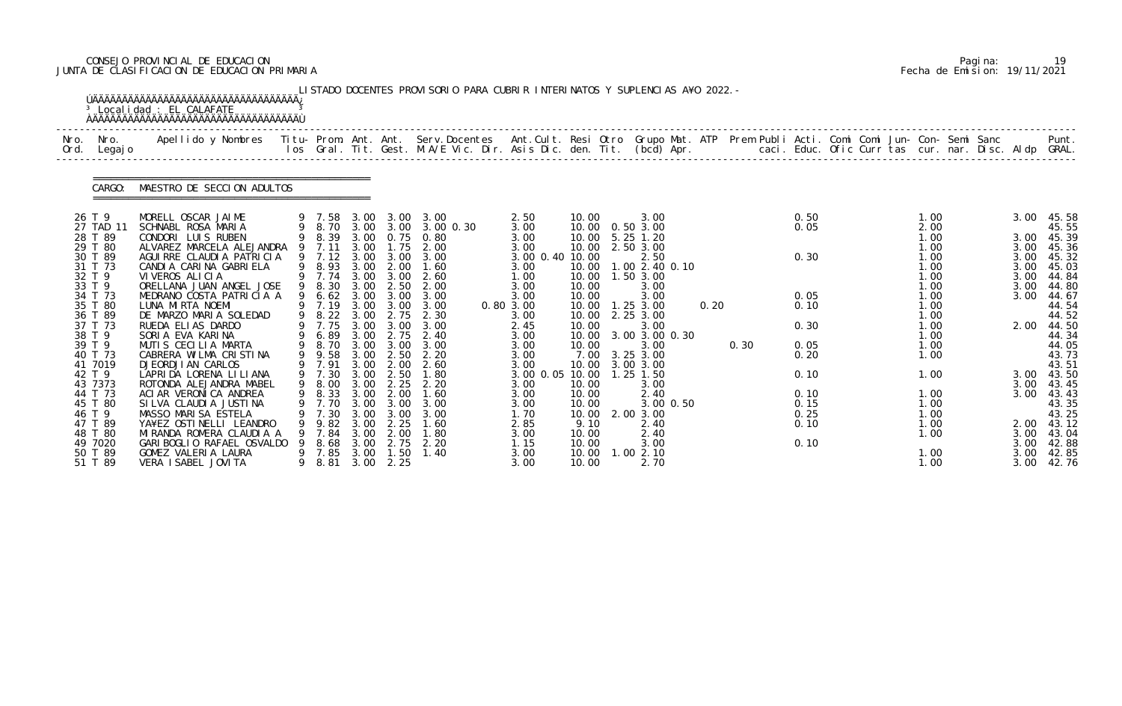# CONSEJO PROVINCIAL DE EDUCACION Pagina: 19 JUNTA DE CLASIFICACION DE EDUCACION PRIMARIA Fecha de Emision: 19/11/2021

|              |                    | <sup>3</sup> Localidad : EL CALAFATE<br><b>AAAAAAAAAAAAAAAAAAAAAAAAAAAAAAAAAAAA</b>                                                                                                                                               |                  |              |                  | LISTADO DOCENTES PROVISORIO PARA CUBRIR INTERINATOS Y SUPLENCIAS A¥O 2022. - |                         |               |                                    |      |      |      |  |              |  |              |                     |
|--------------|--------------------|-----------------------------------------------------------------------------------------------------------------------------------------------------------------------------------------------------------------------------------|------------------|--------------|------------------|------------------------------------------------------------------------------|-------------------------|---------------|------------------------------------|------|------|------|--|--------------|--|--------------|---------------------|
| Nro.<br>Ord. | Nro.<br>Legaj o    | .Apellido y Nombres  Titu- Prom. Ant. Ant.  Serv.Docentes  Ant.Cult. Resi Otro  Grupo Mat. ATP  Prem Publi Acti. Comi Comi Jun- Con- Semi Sanc              Punt.<br>Ios Gral. Tit. Gest. M.A/E Vic. Dir. Asis Dic. den. Tit. (bc |                  |              |                  |                                                                              |                         |               |                                    |      |      |      |  |              |  |              |                     |
|              | CARGO:             | MAESTRO DE SECCION ADULTOS                                                                                                                                                                                                        |                  |              |                  |                                                                              |                         |               |                                    |      |      |      |  |              |  |              |                     |
|              | 26 T 9             | MORELL OSCAR JAIME                                                                                                                                                                                                                | 9 7.58           |              |                  | 3.00 3.00 3.00                                                               | 2.50                    | 10.00         | 3.00                               |      |      | 0.50 |  | 1.00         |  | 3.00         | 45.58               |
|              | 27 TAD 11          | SCHNABL ROSA MARIA                                                                                                                                                                                                                |                  |              |                  | 9 8.70 3.00 3.00 3.00 0.30                                                   | 3.00                    |               | 10.00  0.50  3.00                  |      |      | 0.05 |  | 2.00         |  |              | 45.55               |
|              | 28 T 89<br>29 T 80 | CONDORI LUIS RUBEN<br>ALVAREZ MARCELA ALEJANDRA                                                                                                                                                                                   | 9 8.39<br>9 7.11 |              | 3.00 1.75        | 3.00 0.75 0.80<br>2.00                                                       | 3.00                    |               | 10.00 5.25 1.20<br>10.00 2.50 3.00 |      |      |      |  | 1.00<br>1.00 |  | 3.00         | 3.00 45.39<br>45.36 |
|              | 30 T 89            | AGUIRRE CLAUDIA PATRICIA                                                                                                                                                                                                          | 9 7.12           |              |                  | 3.00 3.00 3.00                                                               | 3.00<br>3.00 0.40 10.00 |               | 2.50                               |      |      | 0.30 |  | 1.00         |  | 3.00         | 45.32               |
|              | 31 T 73            | CANDIA CARINA GABRIELA                                                                                                                                                                                                            |                  |              | 9 8.93 3.00 2.00 | 1.60                                                                         | 3.00                    |               | 10.00  1.00  2.40  0.10            |      |      |      |  | 1.00         |  | 3.00         | 45.03               |
|              | 32 T 9             | VI VEROS ALI CI A                                                                                                                                                                                                                 |                  |              | 9 7.74 3.00 3.00 | 2.60                                                                         | 1.00                    | 10.00         | 1.50 3.00                          |      |      |      |  | 1.00         |  | 3.00         | 44.84               |
|              | 33 T 9             | ORELLANA JUAN ANGEL JOSE                                                                                                                                                                                                          | 9 8.30           | 3.00         | 2.50             | 2.00                                                                         | 3.00                    | 10.00         | 3.00                               |      |      |      |  | 1.00         |  | 3.00         | 44.80               |
|              | 34 T 73            | MEDRANO COSTA PATRICIA A                                                                                                                                                                                                          |                  |              |                  | 9 6.62 3.00 3.00 3.00                                                        | 3.00                    | 10.00         | 3.00                               |      |      | 0.05 |  | 1.00         |  | 3.00         | 44.67               |
|              | 35 T 80            | LUNA MIRTA NOEMI                                                                                                                                                                                                                  | 9 7.19           |              | 3.00 3.00        | 3.00                                                                         | 0.803.00                | 10.00         | $1.25$ $3.00$                      | 0.20 |      | 0.10 |  | 1.00         |  |              | 44.54               |
|              | 36 T 89<br>37 T 73 | DE MARZO MARIA SOLEDAD<br>RUEDA ELIAS DARDO                                                                                                                                                                                       | 9 8.22           | 3.00         | 2.75             | 2.30<br>9 7.75 3.00 3.00 3.00                                                | 3.00<br>2.45            |               | 10.00 2.25 3.00<br>3.00            |      |      | 0.30 |  | 1.00<br>1.00 |  | 2.00         | 44.52<br>44.50      |
|              | 38 T 9             | SORIA EVA KARINA                                                                                                                                                                                                                  | 9 6.89           | 3.00         | 2.75             | 2.40                                                                         | 3.00                    | 10.00         | 10.00 3.00 3.00 0.30               |      |      |      |  | 1.00         |  |              | 44.34               |
|              | 39 T 9             | MUTIS CECILIA MARTA                                                                                                                                                                                                               | 9 8.70           | 3.00         | 3.00             | 3.00                                                                         | 3.00                    | 10.00         | 3.00                               |      | 0.30 | 0.05 |  | 1.00         |  |              | 44.05               |
|              | 40 T 73            | CABRERA WILMA CRISTINA                                                                                                                                                                                                            | 9 9.58           |              |                  | 3.00 2.50 2.20                                                               | 3.00                    |               | 7.00 3.25 3.00                     |      |      | 0.20 |  | 1.00         |  |              | 43.73               |
|              | 41 7019            | DJEORDJI AN CARLOS                                                                                                                                                                                                                | 9 7.91           | 3.00         | 2.00             | 2.60                                                                         | 3.00                    |               | 10.00 3.00 3.00                    |      |      |      |  |              |  |              | 43.51               |
|              | 42 T 9             | LAPRIDA LORENA LILIANA                                                                                                                                                                                                            | 9 7.30           | 3.00         | 2.50             | 1.80                                                                         | 3.00 0.05 10.00         |               | $1.25$ $1.50$                      |      |      | 0.10 |  | 1.00         |  |              | 3.00 43.50          |
|              | 43 7373            | ROTONDA ALEJANDRA MABEL                                                                                                                                                                                                           |                  |              |                  | 9 8.00 3.00 2.25 2.20                                                        | 3.00                    | 10.00         | 3.00                               |      |      |      |  |              |  | 3.00         | 43.45               |
|              | 44 T 73            | ACI AR VERONI CA ANDREA                                                                                                                                                                                                           |                  |              | 9 8.33 3.00 2.00 | 1.60                                                                         | 3.00                    | 10.00         | 2.40                               |      |      | 0.10 |  | 1.00         |  | 3.00         | 43.43               |
|              | 45 T 80            | SI LVA CLAUDI A JUSTI NA                                                                                                                                                                                                          | 7.70             | 3.00         | 3.00             | 3.00                                                                         | 3.00                    | 10.00         | 3.00 0.50                          |      |      | 0.15 |  | 1.00         |  |              | 43.35               |
|              | 46 T 9             | MASSO MARISA ESTELA                                                                                                                                                                                                               | 7.30             | 3.00<br>3.00 | 3.00             | 3.00                                                                         | 1.70                    | 10.00         | 2.00 3.00                          |      |      | 0.25 |  | 1.00         |  |              | 43.25               |
|              | 47 T 89<br>48 T 80 | YA¥EZ OSTINELLI LEANDRO<br>MIRANDA ROMERA CLAUDIA A                                                                                                                                                                               | 9.82<br>7.84     | 3.00         | 2.25<br>2.00     | 1.60<br>1. 80                                                                | 2.85<br>3.00            | 9.10<br>10.00 | 2.40<br>2.40                       |      |      | 0.10 |  | 1.00<br>1.00 |  | 2.00<br>3.00 | 43.12<br>43.04      |
|              | 49 7020            | GARI BOGLIO RAFAEL OSVALDO                                                                                                                                                                                                        | 8.68             | 3.00         | 2.75             | 2.20                                                                         | 1.15                    | 10.00         | 3.00                               |      |      | 0.10 |  |              |  | 3.00         | 42.88               |
|              | 50 T 89            | GOMEZ VALERIA LAURA                                                                                                                                                                                                               | 9 7.85           | 3.00         | 1.50             | 1.40                                                                         | 3.00                    | 10.00         | 1.002.10                           |      |      |      |  | 1.00         |  | 3.00         | 42.85               |
|              | 51 T 89            | VERA I SABEL JOVI TA                                                                                                                                                                                                              | 8. 81            |              | 3.00 2.25        |                                                                              | 3.00                    | 10.00         | 2.70                               |      |      |      |  | 1.00         |  |              | 3.00 42.76          |

|  | Pagi na: | 19                           |
|--|----------|------------------------------|
|  |          | Fecha de Emision: 19/11/2021 |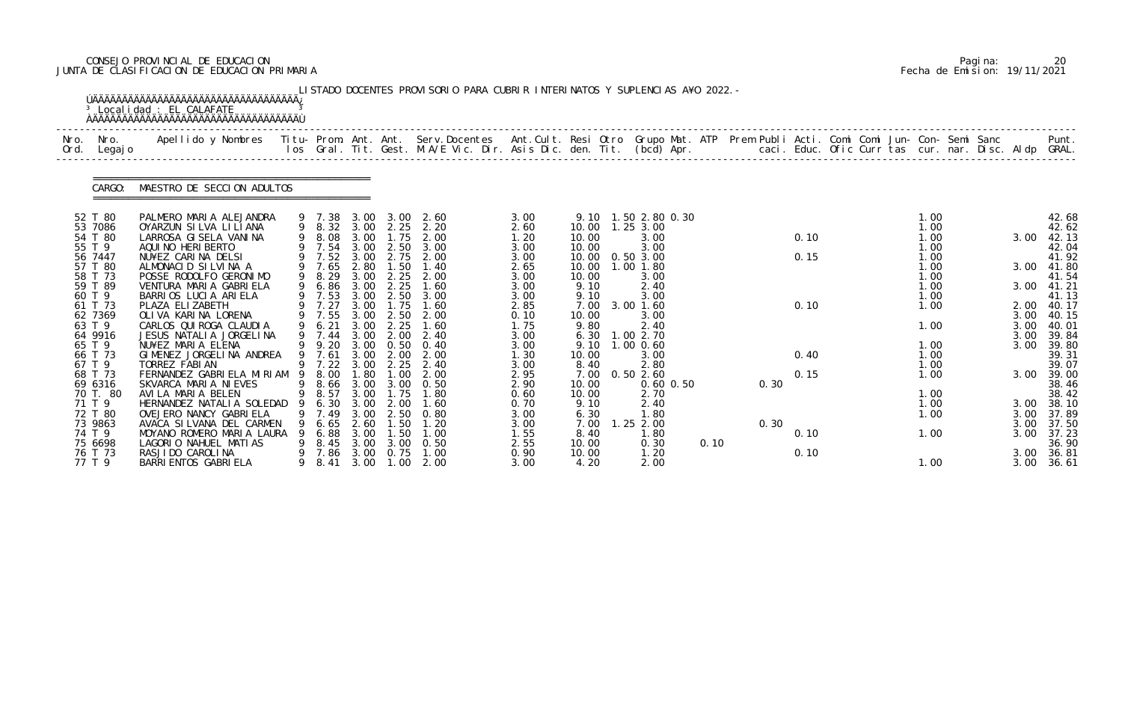# CONSEJO PROVINCIAL DE EDUCACION Pagina: 20 JUNTA DE CLASIFICACION DE EDUCACION PRIMARIA Fecha de Emision: 19/11/2021

| Nro.<br>Ord. | Nro.<br>Legaj o    | .Apellido y Nombres  Titu- Prom. Ant. Ant.  Serv.Docentes  Ant.Cult. Resi Otro  Grupo Mat. ATP  Prem Publi Acti. Comi Comi Jun- Con- Semi Sanc              Punt<br>Ios Gral. Tit. Gest. M.A/E Vic. Dir. Asis Dic. den. Tit. (bcd |     |                  |              |                          |               |              |                |                       |      |      |      |  |              |  |              |                |
|--------------|--------------------|-----------------------------------------------------------------------------------------------------------------------------------------------------------------------------------------------------------------------------------|-----|------------------|--------------|--------------------------|---------------|--------------|----------------|-----------------------|------|------|------|--|--------------|--|--------------|----------------|
|              | CARGO:             | MAESTRO DE SECCION ADULTOS                                                                                                                                                                                                        |     |                  |              |                          |               |              |                |                       |      |      |      |  |              |  |              |                |
|              | 52 T 80            | PALMERO MARIA ALEJANDRA                                                                                                                                                                                                           |     | 9 7.38           | 3.00         | 3.00                     | 2.60          | 3.00         |                | 9.10 1.50 2.80 0.30   |      |      |      |  | 1.00         |  |              | 42.68          |
|              | 53 7086<br>54 T 80 | OYARZUN SILVA LILIANA<br>LARROSA GI SELA VANINA                                                                                                                                                                                   |     | 9 8.32<br>8.08   | 3.00         | 3.00 2.25<br>1.75        | 2.20<br>2.00  | 2.60<br>1.20 | 10.00<br>10.00 | 1.25 3.00<br>3.00     |      |      | 0.10 |  | 1.00<br>1.00 |  | 3.00         | 42.62<br>42.13 |
|              | 55 T 9             | AQUI NO HERI BERTO                                                                                                                                                                                                                |     | 9 7.54           | 3.00         | 2.50                     | 3.00          | 3.00         | 10.00          | 3.00                  |      |      |      |  | 1.00         |  |              | 42.04          |
|              | 56 7447            | NU¥EZ CARINA DELSI                                                                                                                                                                                                                |     | 9 7.52           | 3.00         | 2.75                     | 2.00          | 3.00         | 10.00          | 0.50 3.00             |      |      | 0.15 |  | 1.00         |  |              | 41.92          |
|              | 57 T 80<br>58 T 73 | ALMONACID SILVINA A<br>POSSE RODOLFO GERONIMO                                                                                                                                                                                     | 9   | 7.65<br>8.29     | 2.80<br>3.00 | 1.50<br>2.25             | 1.40<br>2.00  | 2.65<br>3.00 | 10.00<br>10.00 | $1.00$ $1.80$<br>3.00 |      |      |      |  | 1.00<br>1.00 |  | 3.00         | 41.80<br>41.54 |
|              | 59 T 89            | VENTURA MARIA GABRIELA                                                                                                                                                                                                            | 9   | 6.86             | 3.00         | 2.25                     | 1.60          | 3.00         | 9.10           | 2.40                  |      |      |      |  | 1.00         |  | 3.00         | 41.21          |
|              | 60 T 9             | BARRIOS LUCIA ARIELA                                                                                                                                                                                                              |     | 9 7.53           | 3.00         | 2.50                     | 3.00          | 3.00         | 9.10           | 3.00                  |      |      |      |  | 1.00         |  |              | 41.13          |
|              | 61 T 73            | PLAZA ELIZABETH                                                                                                                                                                                                                   |     | 7.27             | 3.00         | 1.75                     | 1.60          | 2.85         | 7.00           | 3.00 1.60             |      |      | 0.10 |  | 1.00         |  | 2.00         | 40.17          |
|              | 62 7369<br>63 T 9  | OLIVA KARINA LORENA<br>CARLOS QUI ROGA CLAUDI A                                                                                                                                                                                   |     | 9 7.55<br>6.21   | 3.00<br>3.00 | 2.50<br>2.25             | 2.00<br>1.60  | 0.10<br>1.75 | 10.00<br>9.80  | 3.00<br>2.40          |      |      |      |  | 1.00         |  | 3.00<br>3.00 | 40.15<br>40.01 |
|              | 64 9916            | JESUS NATALIA JORGELINA                                                                                                                                                                                                           |     | 7.44             | 3.00         | 2.00                     | 2.40          | 3.00         | 6.30           | 1.00 2.70             |      |      |      |  |              |  | 3.00         | 39.84          |
|              | 65 T 9             | NU¥EZ MARIA ELENA                                                                                                                                                                                                                 |     | 9.20             |              | 3.00 0.50                | 0.40          | 3.00         | 9.10           | 1.00 0.60             |      |      |      |  | 1.00         |  | 3.00         | 39.80          |
|              | 66 T 73            | GIMENEZ JORGELINA ANDREA                                                                                                                                                                                                          |     | 7.61             | 3.00         | 2.00                     | 2.00          | 1.30         | 10.00          | 3.00                  |      |      | 0.40 |  | 1.00         |  |              | 39.31          |
|              | 67 T 9<br>68 T 73  | TORREZ FABIAN<br>FERNANDEZ GABRIELA MIRIAM                                                                                                                                                                                        | - 9 | $9$ 7.22<br>8.00 | 3.00<br>1.80 | 2.25<br>1.00             | 2.40<br>2.00  | 3.00         | 8.40           | 2.80<br>0.502.60      |      |      | 0.15 |  | 1.00<br>1.00 |  | 3.00         | 39.07          |
|              | 69 6316            | SKVARCA MARIA NIEVES                                                                                                                                                                                                              |     |                  |              | 9 8.66 3.00 3.00         | 0. 50         | 2.95<br>2.90 | 7.00<br>10.00  | $0.60$ $0.50$         |      | 0.30 |      |  |              |  |              | 39.00<br>38.46 |
|              | 70 T. 80           | AVILA MARIA BELEN                                                                                                                                                                                                                 |     | 9 8.57 3.00      |              | 1.75                     | 1.80          | 0.60         | 10.00          | 2.70                  |      |      |      |  | 1.00         |  |              | 38.42          |
|              | 71 T 9             | HERNANDEZ NATALIA SOLEDAD                                                                                                                                                                                                         |     | 6.30             | 3.00         | 2.00                     | 1.60          | 0.70         | 9.10           | 2.40                  |      |      |      |  | 1.00         |  | 3.00         | 38.10          |
|              | 72 T 80            | OVEJERO NANCY GABRIELA                                                                                                                                                                                                            |     | 7.49             | 3.00         | 2.50                     | 0.80          | 3.00         | 6.30           | 1.80                  |      |      |      |  | 1.00         |  | 3.00         | 37.89          |
|              | 73 9863<br>74 T 9  | AVACA SI LVANA DEL CARMEN<br>MOYANO ROMERO MARIA LAURA                                                                                                                                                                            |     | 6.65<br>6.88     | 2.60<br>3.00 | 1.50<br>$\overline{.50}$ | 1. 20<br>1.00 | 3.00<br>1.55 | 7.00<br>8.40   | 1.25 2.00<br>1.80     |      | 0.30 | 0.10 |  | 1.00         |  | 3.00<br>3.00 | 37.50<br>37.23 |
|              | 75 6698            | LAGORIO NAHUEL MATIAS                                                                                                                                                                                                             | 9   | 8.45             | 3.00         | 3.00                     | 0.50          | 2.55         | 10.00          | 0.30                  | 0.10 |      |      |  |              |  |              | 36.90          |
|              | 76 T 73            | RASJI DO CAROLI NA                                                                                                                                                                                                                | 9   | 7.86             | 3.00         | 0.75                     | 1.00          | 0.90         | 10.00          | 1.20                  |      |      | 0.10 |  |              |  | 3.00         | 36.81          |
|              | 77 T 9             | BARRI ENTOS GABRI ELA                                                                                                                                                                                                             |     | 8.41             | 3.00         | 1.00                     | 2.00          | 3.00         | 4.20           | 2.00                  |      |      |      |  | 1.00         |  | 3.00         | 36.61          |
|              |                    |                                                                                                                                                                                                                                   |     |                  |              |                          |               |              |                |                       |      |      |      |  |              |  |              |                |

|  | Pagi na: | 20                           |
|--|----------|------------------------------|
|  |          | Fecha de Emision: 19/11/2021 |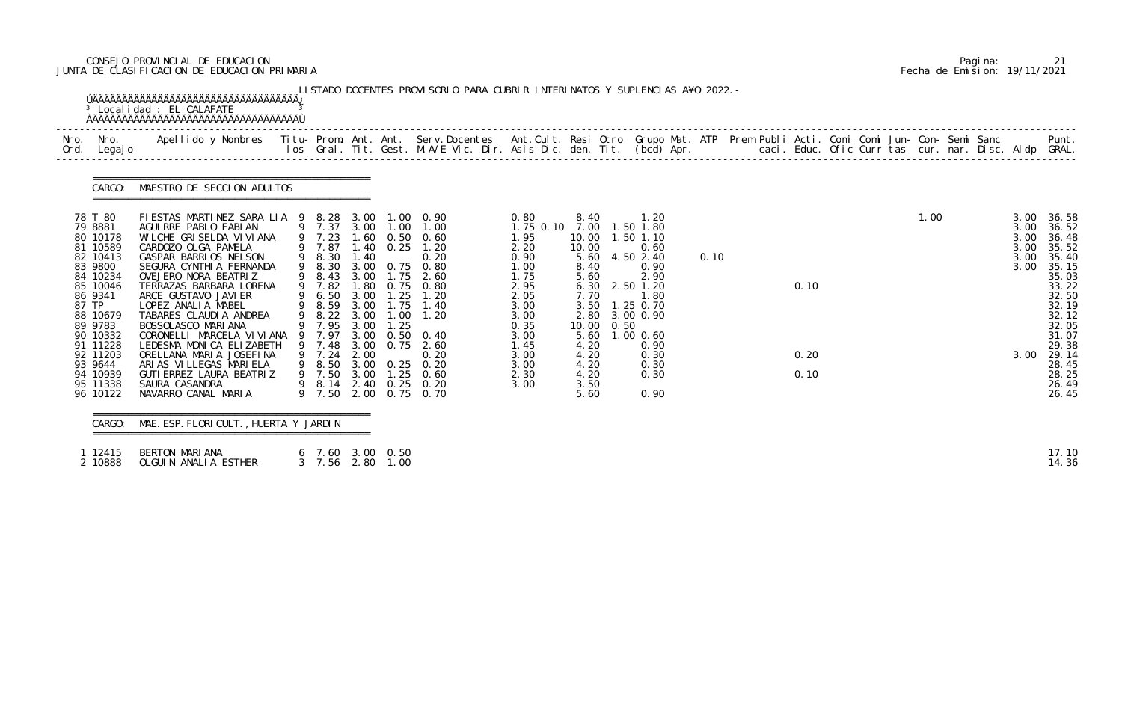# CONSEJO PROVINCIAL DE EDUCACION Pagina: 21 JUNTA DE CLASIFICACION DE EDUCACION PRIMARIA Fecha de Emision: 19/11/2021

| Nro. Nro.<br>Ord. Legajo                                                                                                                                     | Apellido y Nombres Titu- Prom. Ant. Ant. Serv.Docentes Ant.Cult. Resi Otro Grupo Mat. ATP Prem Publi Acti. Comi Comi Jun- Con- Semi Sanc Punt.<br>Ios Gral. Tit. Gest. M.A/E Vic. Dir. Asis Dic. den. Tit. (bcd) Apr.                                                                                                                                                                                             |                                                                              |                              |              |                                                                                                                                                                                                                           |                                                                                                                   |                                                                                                      |                                                                                                                                                    |      |              |  |      |  |                                              |                                                                                                                            |
|--------------------------------------------------------------------------------------------------------------------------------------------------------------|-------------------------------------------------------------------------------------------------------------------------------------------------------------------------------------------------------------------------------------------------------------------------------------------------------------------------------------------------------------------------------------------------------------------|------------------------------------------------------------------------------|------------------------------|--------------|---------------------------------------------------------------------------------------------------------------------------------------------------------------------------------------------------------------------------|-------------------------------------------------------------------------------------------------------------------|------------------------------------------------------------------------------------------------------|----------------------------------------------------------------------------------------------------------------------------------------------------|------|--------------|--|------|--|----------------------------------------------|----------------------------------------------------------------------------------------------------------------------------|
| CARGO:                                                                                                                                                       | MAESTRO DE SECCION ADULTOS                                                                                                                                                                                                                                                                                                                                                                                        |                                                                              |                              |              |                                                                                                                                                                                                                           |                                                                                                                   |                                                                                                      |                                                                                                                                                    |      |              |  |      |  |                                              |                                                                                                                            |
| 78 T 80<br>79 8881<br>80 10178<br>81 10589<br>82 10413<br>83 9800<br>84 10234<br>85 10046<br>86 9341<br>87 TP<br>88 10679<br>89 9783<br>90 10332<br>91 11228 | FIESTAS MARTINEZ SARA LIA 9 8.28 3.00 1.00 0.90<br>AGUI RRE PABLO FABI AN<br>WILCHE GRISELDA VIVIANA<br>CARDOZO OLGA PAMELA<br>GASPAR BARRIOS NELSON<br>SEGURA CYNTHIA FERNANDA<br>OVEJERO NORA BEATRIZ<br>TERRAZAS BARBARA LORENA<br>ARCE GUSTAVO JAVI ER<br>LOPEZ ANALIA MABEL<br>TABARES CLAUDIA ANDREA<br>BOSSOLASCO MARIANA<br>CORONELLI MARCELA VI VI ANA 9 7.97 3.00 0.50 0.40<br>LEDESMA MONICA ELIZABETH | 9 8.30<br>9 8.43<br>9 7.82<br>9 6.50 3.00<br>9 8.59<br>9 8.22 3.00<br>9 7.95 | 3.00<br>1.80<br>3.00<br>3.00 | 1.75<br>1.25 | 9 7.37 3.00 1.00 1.00<br>$9\ 7.23\ 1.60\ 0.50\ 0.60$<br>$9\ 7.87\ 1.40\ 0.25\ 1.20$<br>$9\ 8.30\ 1.40\ 0.25$<br>3.00 0.75 0.80<br>2.60<br>0.75 0.80<br>$1.25$ 1.20<br>1.75 1.40<br>$1.00$ $1.20$<br>9 7.48 3.00 0.75 2.60 | 0.80<br>1.75 0.10<br>1.95<br>2.20<br>0.90<br>1.00<br>1.75<br>2.95<br>2.05<br>3.00<br>3.00<br>0.35<br>3.00<br>1.45 | 8.40<br>10.00<br>10.00<br>5.60<br>8.40<br>5.60<br>6.30<br>7.70<br>3.50<br>2.80<br>10.00 0.50<br>4.20 | 1. 20<br>7.00 1.50 1.80<br>1.50 1.10<br>0.60<br>4.50 2.40<br>0.90<br>2.90<br>2.50 1.20<br>1.80<br>1.25 0.70<br>3.00 0.90<br>5.60 1.00 0.60<br>0.90 | 0.10 | 0.10         |  | 1.00 |  | 3.00<br>3.00<br>3.00<br>3.00<br>3.00<br>3.00 | 36.58<br>36.52<br>36.48<br>35.52<br>35.40<br>35.15<br>35.03<br>33.22<br>32.50<br>32.19<br>32.12<br>32.05<br>31.07<br>29.38 |
| 92 11203<br>93 9644<br>94 10939<br>95 11338<br>96 10122                                                                                                      | ORELLANA MARIA JOSEFINA<br>ARIAS VILLEGAS MARIELA<br>GUTI ERREZ LAURA BEATRIZ<br>SAURA CASANDRA<br>NAVARRO CANAL MARIA                                                                                                                                                                                                                                                                                            | 9 7.24 2.00                                                                  |                              |              | 0.20<br>9 8.50 3.00 0.25 0.20<br>9 7.50 3.00 1.25 0.60<br>9 8.14 2.40 0.25 0.20<br>9 7.50 2.00 0.75 0.70                                                                                                                  | 3.00<br>3.00<br>2.30<br>3.00                                                                                      | 4.20<br>4.20<br>4.20<br>3.50<br>5.60                                                                 | 0.30<br>0.30<br>0.30<br>0.90                                                                                                                       |      | 0.20<br>0.10 |  |      |  | 3.00                                         | 29.14<br>28.45<br>28.25<br>26.49<br>26.45                                                                                  |

| BERTON MARIANA<br>12415       | 7.60 3.00 0.50   | 17.10 |
|-------------------------------|------------------|-------|
| OLGUIN ANALIA ESTHER<br>10888 | 3 7.56 2.80 1.00 |       |

|  | Pagi na: |                              |
|--|----------|------------------------------|
|  |          | Fecha de Emision: 19/11/2021 |